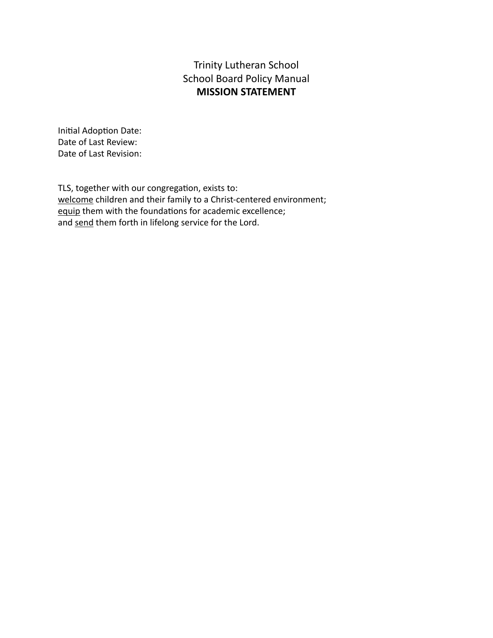## Trinity Lutheran School School Board Policy Manual **MISSION STATEMENT**

Initial Adoption Date: Date of Last Review: Date of Last Revision:

TLS, together with our congregation, exists to: welcome children and their family to a Christ-centered environment; equip them with the foundations for academic excellence; and send them forth in lifelong service for the Lord.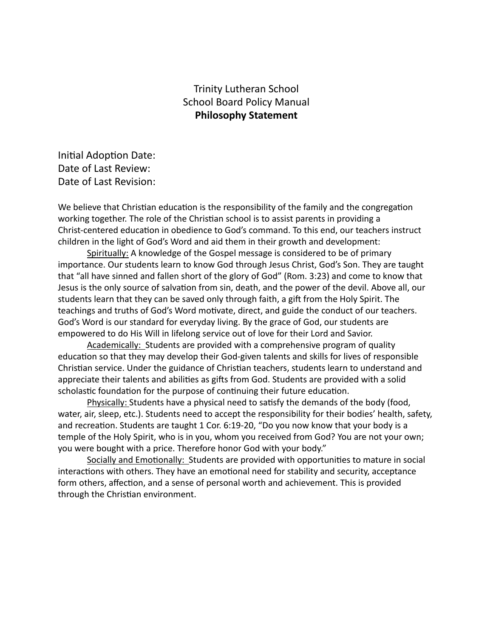### Trinity Lutheran School School Board Policy Manual **Philosophy Statement**

Initial Adoption Date: Date of Last Review: Date of Last Revision:

We believe that Christian education is the responsibility of the family and the congregation working together. The role of the Christian school is to assist parents in providing a Christ-centered education in obedience to God's command. To this end, our teachers instruct children in the light of God's Word and aid them in their growth and development:

Spiritually: A knowledge of the Gospel message is considered to be of primary importance. Our students learn to know God through Jesus Christ, God's Son. They are taught that "all have sinned and fallen short of the glory of God" (Rom. 3:23) and come to know that Jesus is the only source of salvation from sin, death, and the power of the devil. Above all, our students learn that they can be saved only through faith, a gift from the Holy Spirit. The teachings and truths of God's Word motivate, direct, and guide the conduct of our teachers. God's Word is our standard for everyday living. By the grace of God, our students are empowered to do His Will in lifelong service out of love for their Lord and Savior.

Academically: Students are provided with a comprehensive program of quality education so that they may develop their God-given talents and skills for lives of responsible Christian service. Under the guidance of Christian teachers, students learn to understand and appreciate their talents and abilities as gifts from God. Students are provided with a solid scholastic foundation for the purpose of continuing their future education.

Physically: Students have a physical need to satisfy the demands of the body (food, water, air, sleep, etc.). Students need to accept the responsibility for their bodies' health, safety, and recreation. Students are taught 1 Cor. 6:19-20, "Do you now know that your body is a temple of the Holy Spirit, who is in you, whom you received from God? You are not your own; you were bought with a price. Therefore honor God with your body."

Socially and Emotionally: Students are provided with opportunities to mature in social interactions with others. They have an emotional need for stability and security, acceptance form others, affection, and a sense of personal worth and achievement. This is provided through the Christian environment.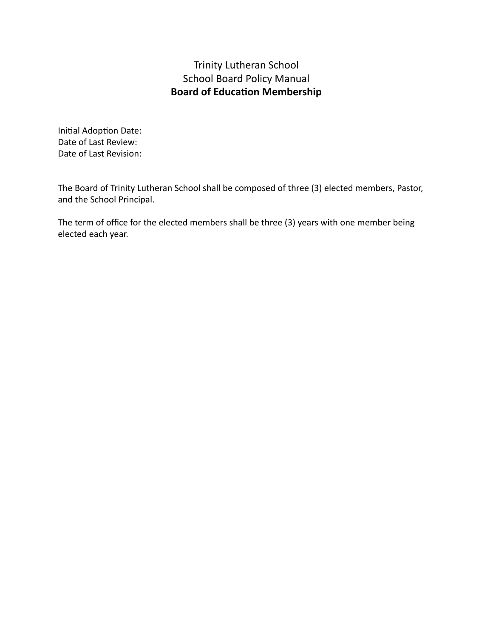## Trinity Lutheran School School Board Policy Manual **Board of Education Membership**

Initial Adoption Date: Date of Last Review: Date of Last Revision:

The Board of Trinity Lutheran School shall be composed of three (3) elected members, Pastor, and the School Principal.

The term of office for the elected members shall be three (3) years with one member being elected each year.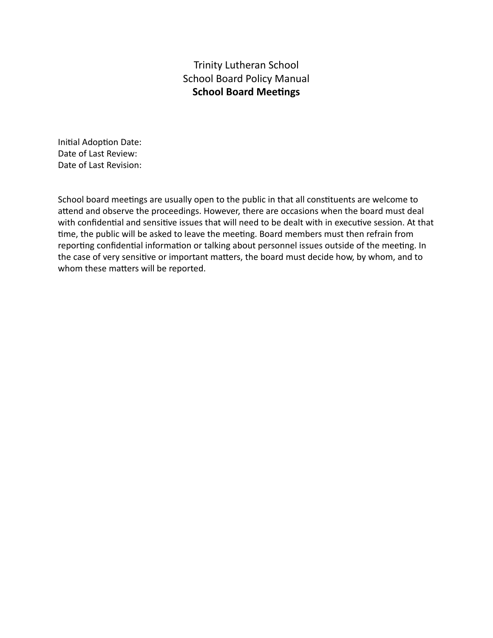## Trinity Lutheran School School Board Policy Manual **School Board Meetings**

Initial Adoption Date: Date of Last Review: Date of Last Revision:

School board meetings are usually open to the public in that all constituents are welcome to attend and observe the proceedings. However, there are occasions when the board must deal with confidential and sensitive issues that will need to be dealt with in executive session. At that time, the public will be asked to leave the meeting. Board members must then refrain from reporting confidential information or talking about personnel issues outside of the meeting. In the case of very sensitive or important matters, the board must decide how, by whom, and to whom these matters will be reported.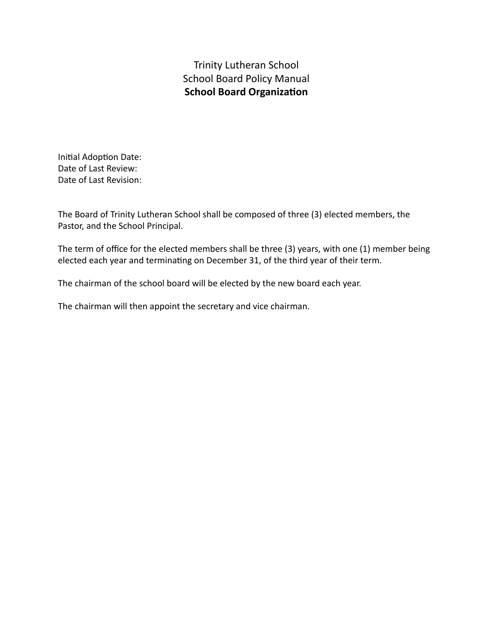Trinity Lutheran School School Board Policy Manual **School Board Organization** 

Initial Adoption Date: Date of Last Review: Date of Last Revision:

The Board of Trinity Lutheran School shall be composed of three (3) elected members, the Pastor, and the School Principal.

The term of office for the elected members shall be three (3) years, with one (1) member being elected each year and terminating on December 31, of the third year of their term.

The chairman of the school board will be elected by the new board each year.

The chairman will then appoint the secretary and vice chairman.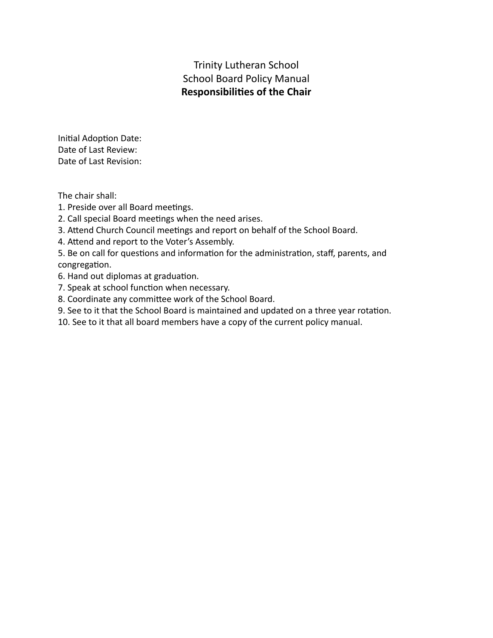Trinity Lutheran School School Board Policy Manual **Responsibilies of the Chair**

Initial Adoption Date: Date of Last Review: Date of Last Revision:

The chair shall:

- 1. Preside over all Board meetings.
- 2. Call special Board meetings when the need arises.
- 3. Attend Church Council meetings and report on behalf of the School Board.
- 4. Attend and report to the Voter's Assembly.
- 5. Be on call for questions and information for the administration, staff, parents, and congregation.
- 6. Hand out diplomas at graduation.
- 7. Speak at school function when necessary.
- 8. Coordinate any committee work of the School Board.
- 9. See to it that the School Board is maintained and updated on a three year rotation.
- 10. See to it that all board members have a copy of the current policy manual.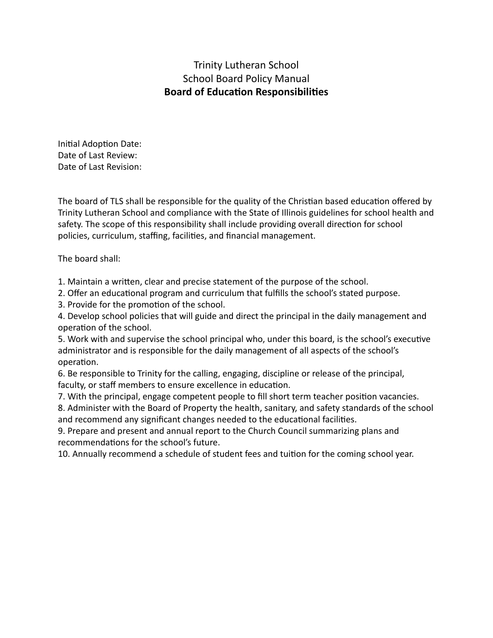## Trinity Lutheran School School Board Policy Manual **Board of Education Responsibilities**

Initial Adoption Date: Date of Last Review: Date of Last Revision:

The board of TLS shall be responsible for the quality of the Christian based education offered by Trinity Lutheran School and compliance with the State of Illinois guidelines for school health and safety. The scope of this responsibility shall include providing overall direction for school policies, curriculum, staffing, facilities, and financial management.

The board shall:

1. Maintain a written, clear and precise statement of the purpose of the school.

2. Offer an educational program and curriculum that fulfills the school's stated purpose.

3. Provide for the promotion of the school.

4. Develop school policies that will guide and direct the principal in the daily management and operation of the school.

5. Work with and supervise the school principal who, under this board, is the school's executive administrator and is responsible for the daily management of all aspects of the school's operation.

6. Be responsible to Trinity for the calling, engaging, discipline or release of the principal, faculty, or staff members to ensure excellence in education.

7. With the principal, engage competent people to fill short term teacher position vacancies.

8. Administer with the Board of Property the health, sanitary, and safety standards of the school and recommend any significant changes needed to the educational facilities.

9. Prepare and present and annual report to the Church Council summarizing plans and recommendations for the school's future.

10. Annually recommend a schedule of student fees and tuition for the coming school year.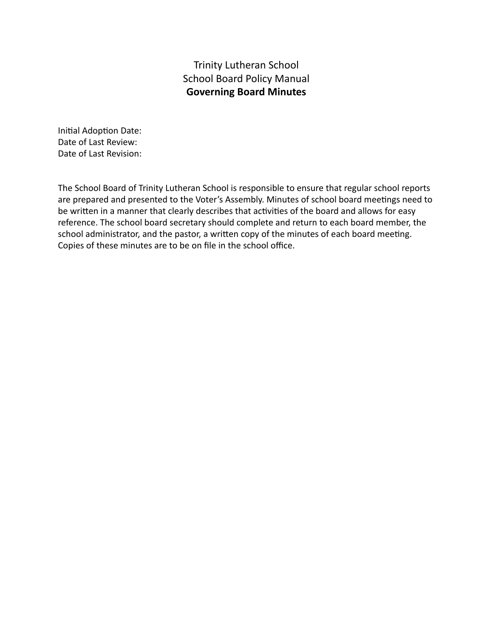## Trinity Lutheran School School Board Policy Manual **Governing Board Minutes**

Initial Adoption Date: Date of Last Review: Date of Last Revision:

The School Board of Trinity Lutheran School is responsible to ensure that regular school reports are prepared and presented to the Voter's Assembly. Minutes of school board meetings need to be written in a manner that clearly describes that activities of the board and allows for easy reference. The school board secretary should complete and return to each board member, the school administrator, and the pastor, a written copy of the minutes of each board meeting. Copies of these minutes are to be on file in the school office.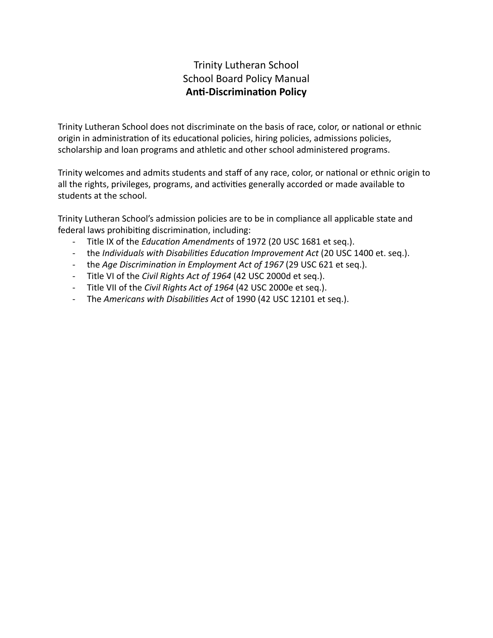# Trinity Lutheran School School Board Policy Manual **Anti-Discrimination Policy**

Trinity Lutheran School does not discriminate on the basis of race, color, or national or ethnic origin in administration of its educational policies, hiring policies, admissions policies, scholarship and loan programs and athletic and other school administered programs.

Trinity welcomes and admits students and staff of any race, color, or national or ethnic origin to all the rights, privileges, programs, and activities generally accorded or made available to students at the school.

Trinity Lutheran School's admission policies are to be in compliance all applicable state and federal laws prohibiting discrimination, including:

- Title IX of the *Education Amendments* of 1972 (20 USC 1681 et seg.).
- the *Individuals with Disabilities Education Improvement Act* (20 USC 1400 et. seq.).
- the *Age Discrimination in Employment Act of 1967* (29 USC 621 et seq.).
- Title VI of the *Civil Rights Act of 1964* (42 USC 2000d et seq.).
- Title VII of the *Civil Rights Act of 1964* (42 USC 2000e et seq.).
- The *Americans with Disabilies Act* of 1990 (42 USC 12101 et seq.).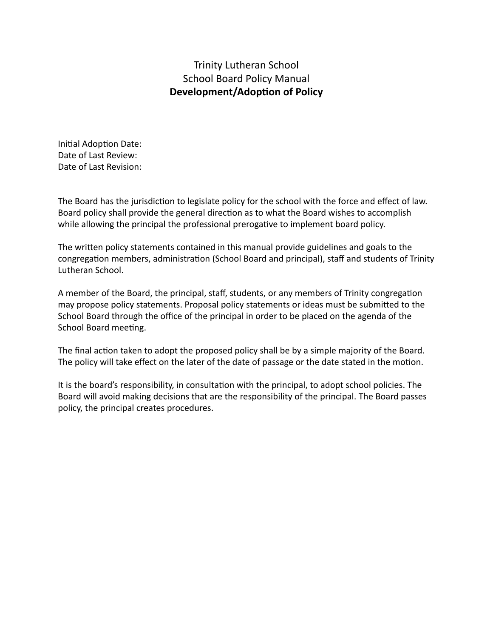## Trinity Lutheran School School Board Policy Manual **Development/Adoption of Policy**

Initial Adoption Date: Date of Last Review: Date of Last Revision:

The Board has the jurisdiction to legislate policy for the school with the force and effect of law. Board policy shall provide the general direction as to what the Board wishes to accomplish while allowing the principal the professional prerogative to implement board policy.

The written policy statements contained in this manual provide guidelines and goals to the congregation members, administration (School Board and principal), staff and students of Trinity Lutheran School.

A member of the Board, the principal, staff, students, or any members of Trinity congregation may propose policy statements. Proposal policy statements or ideas must be submitted to the School Board through the office of the principal in order to be placed on the agenda of the School Board meeting.

The final action taken to adopt the proposed policy shall be by a simple majority of the Board. The policy will take effect on the later of the date of passage or the date stated in the motion.

It is the board's responsibility, in consultation with the principal, to adopt school policies. The Board will avoid making decisions that are the responsibility of the principal. The Board passes policy, the principal creates procedures.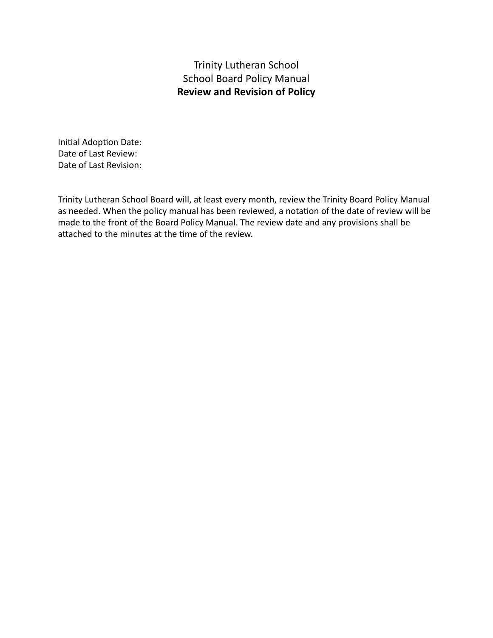Trinity Lutheran School School Board Policy Manual **Review and Revision of Policy**

Initial Adoption Date: Date of Last Review: Date of Last Revision:

Trinity Lutheran School Board will, at least every month, review the Trinity Board Policy Manual as needed. When the policy manual has been reviewed, a notation of the date of review will be made to the front of the Board Policy Manual. The review date and any provisions shall be attached to the minutes at the time of the review.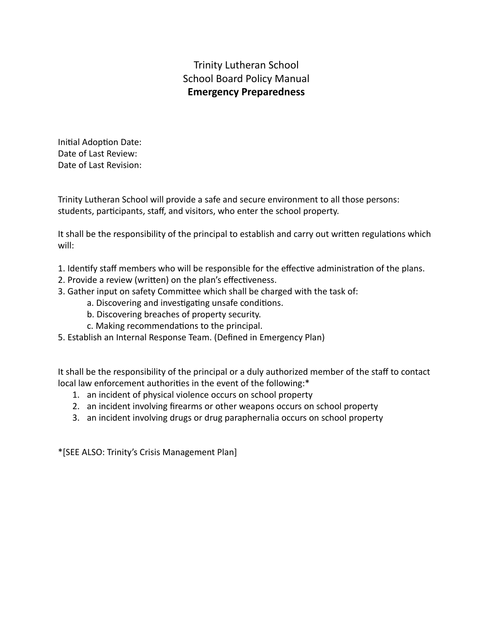# Trinity Lutheran School School Board Policy Manual **Emergency Preparedness**

Initial Adoption Date: Date of Last Review: Date of Last Revision:

Trinity Lutheran School will provide a safe and secure environment to all those persons: students, participants, staff, and visitors, who enter the school property.

It shall be the responsibility of the principal to establish and carry out written regulations which will:

- 1. Identify staff members who will be responsible for the effective administration of the plans.
- 2. Provide a review (written) on the plan's effectiveness.
- 3. Gather input on safety Committee which shall be charged with the task of:
	- a. Discovering and investigating unsafe conditions.
	- b. Discovering breaches of property security.
	- c. Making recommendations to the principal.
- 5. Establish an Internal Response Team. (Defined in Emergency Plan)

It shall be the responsibility of the principal or a duly authorized member of the staff to contact local law enforcement authorities in the event of the following:\*

- 1. an incident of physical violence occurs on school property
- 2. an incident involving firearms or other weapons occurs on school property
- 3. an incident involving drugs or drug paraphernalia occurs on school property

\*[SEE ALSO: Trinity's Crisis Management Plan]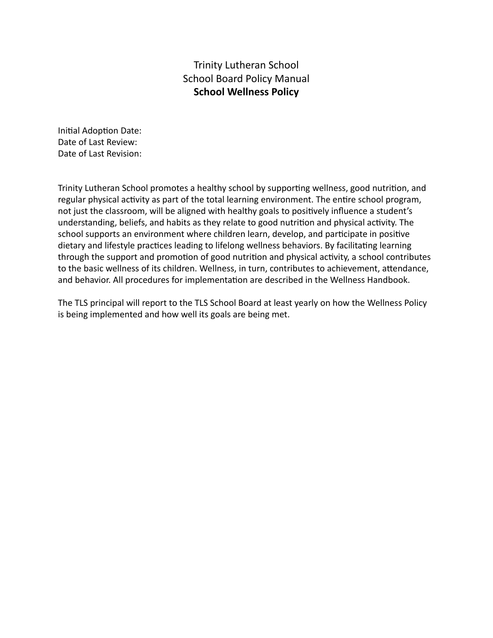## Trinity Lutheran School School Board Policy Manual **School Wellness Policy**

Initial Adoption Date: Date of Last Review: Date of Last Revision:

Trinity Lutheran School promotes a healthy school by supporting wellness, good nutrition, and regular physical activity as part of the total learning environment. The entire school program, not just the classroom, will be aligned with healthy goals to positively influence a student's understanding, beliefs, and habits as they relate to good nutrition and physical activity. The school supports an environment where children learn, develop, and participate in positive dietary and lifestyle practices leading to lifelong wellness behaviors. By facilitating learning through the support and promotion of good nutrition and physical activity, a school contributes to the basic wellness of its children. Wellness, in turn, contributes to achievement, attendance, and behavior. All procedures for implementation are described in the Wellness Handbook.

The TLS principal will report to the TLS School Board at least yearly on how the Wellness Policy is being implemented and how well its goals are being met.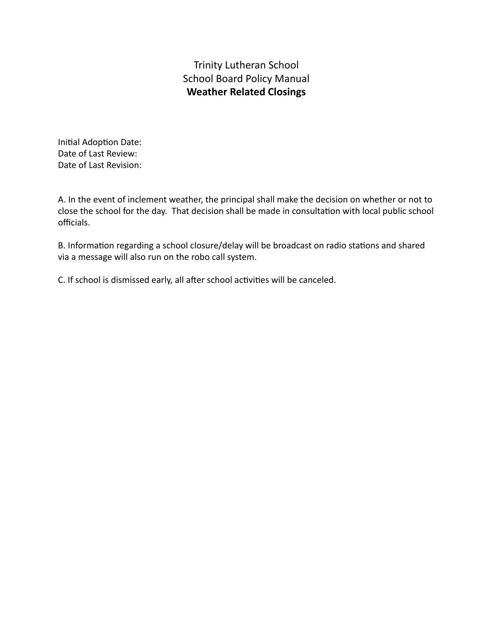# Trinity Lutheran School School Board Policy Manual **Weather Related Closings**

Initial Adoption Date: Date of Last Review: Date of Last Revision:

A. In the event of inclement weather, the principal shall make the decision on whether or not to close the school for the day. That decision shall be made in consultation with local public school officials.

B. Information regarding a school closure/delay will be broadcast on radio stations and shared via a message will also run on the robo call system.

C. If school is dismissed early, all after school activities will be canceled.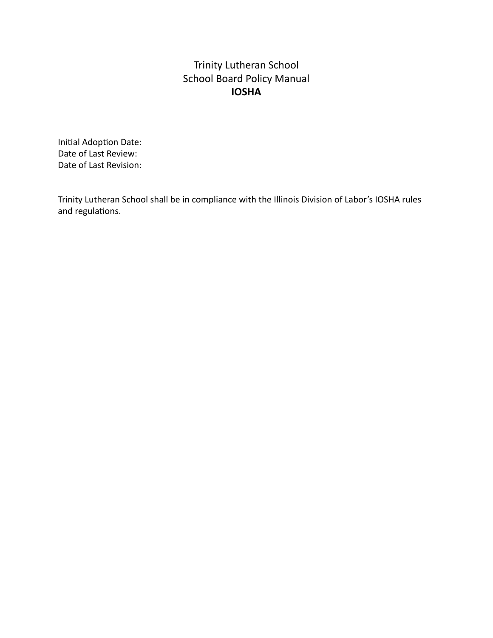# Trinity Lutheran School School Board Policy Manual **IOSHA**

Initial Adoption Date: Date of Last Review: Date of Last Revision:

Trinity Lutheran School shall be in compliance with the Illinois Division of Labor's IOSHA rules and regulations.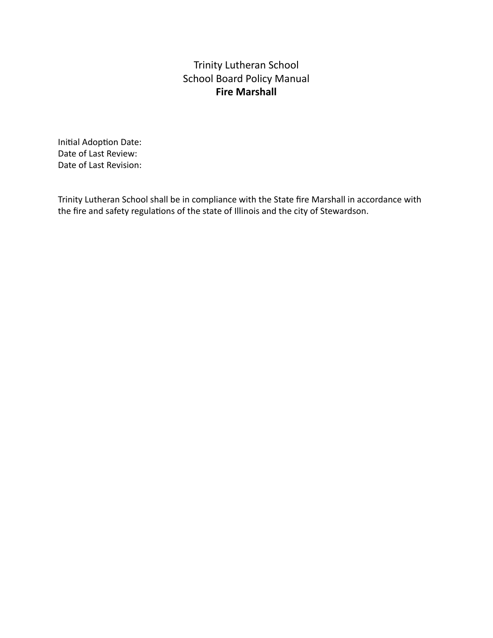## Trinity Lutheran School School Board Policy Manual **Fire Marshall**

Initial Adoption Date: Date of Last Review: Date of Last Revision:

Trinity Lutheran School shall be in compliance with the State fire Marshall in accordance with the fire and safety regulations of the state of Illinois and the city of Stewardson.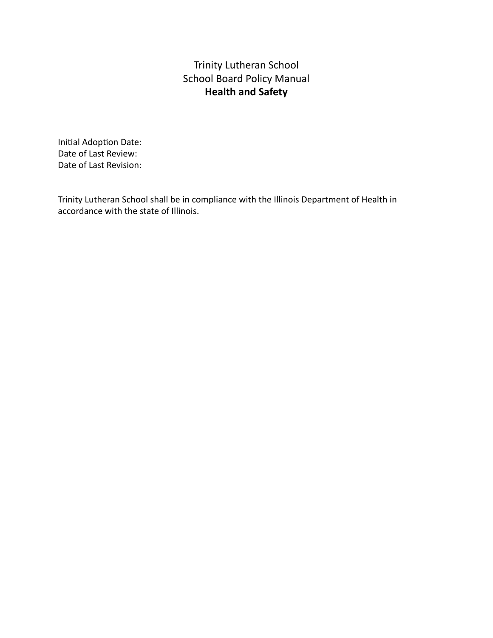# Trinity Lutheran School School Board Policy Manual **Health and Safety**

Initial Adoption Date: Date of Last Review: Date of Last Revision:

Trinity Lutheran School shall be in compliance with the Illinois Department of Health in accordance with the state of Illinois.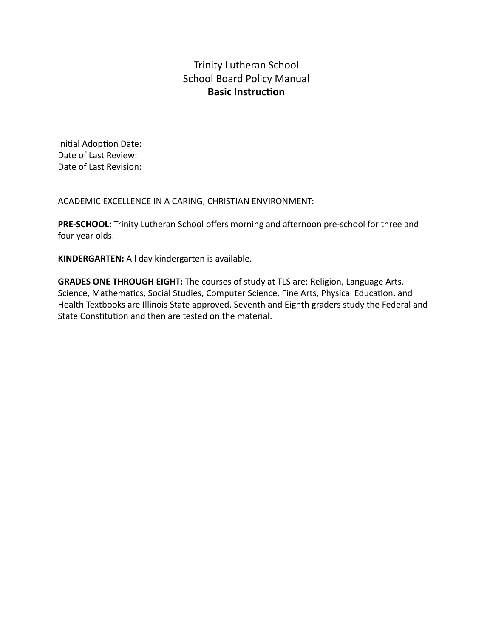## Trinity Lutheran School School Board Policy Manual **Basic Instruction**

Initial Adoption Date: Date of Last Review: Date of Last Revision:

ACADEMIC EXCELLENCE IN A CARING, CHRISTIAN ENVIRONMENT:

**PRE-SCHOOL:** Trinity Lutheran School offers morning and afternoon pre-school for three and four year olds.

**KINDERGARTEN:** All day kindergarten is available.

**GRADES ONE THROUGH EIGHT:** The courses of study at TLS are: Religion, Language Arts, Science, Mathematics, Social Studies, Computer Science, Fine Arts, Physical Education, and Health Textbooks are Illinois State approved. Seventh and Eighth graders study the Federal and State Constitution and then are tested on the material.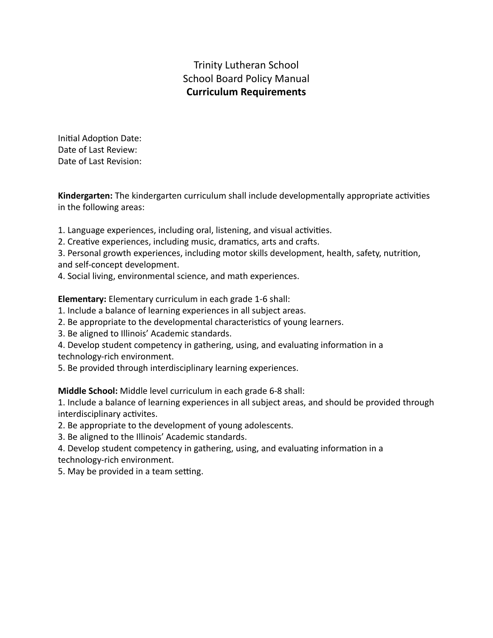# Trinity Lutheran School School Board Policy Manual **Curriculum Requirements**

Initial Adoption Date: Date of Last Review: Date of Last Revision:

**Kindergarten:** The kindergarten curriculum shall include developmentally appropriate activities in the following areas:

- 1. Language experiences, including oral, listening, and visual activities.
- 2. Creative experiences, including music, dramatics, arts and crafts.
- 3. Personal growth experiences, including motor skills development, health, safety, nutrition, and self-concept development.
- 4. Social living, environmental science, and math experiences.

**Elementary:** Elementary curriculum in each grade 1-6 shall:

- 1. Include a balance of learning experiences in all subject areas.
- 2. Be appropriate to the developmental characteristics of young learners.
- 3. Be aligned to Illinois' Academic standards.
- 4. Develop student competency in gathering, using, and evaluating information in a
- technology-rich environment.
- 5. Be provided through interdisciplinary learning experiences.

**Middle School:** Middle level curriculum in each grade 6-8 shall:

1. Include a balance of learning experiences in all subject areas, and should be provided through interdisciplinary activites.

- 2. Be appropriate to the development of young adolescents.
- 3. Be aligned to the Illinois' Academic standards.

4. Develop student competency in gathering, using, and evaluating information in a technology-rich environment.

5. May be provided in a team setting.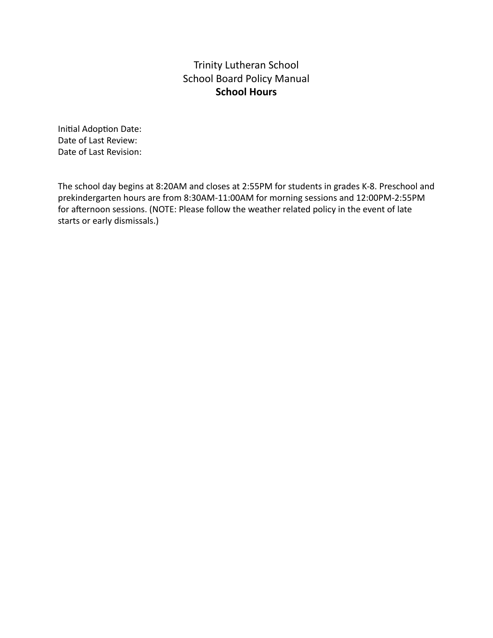## Trinity Lutheran School School Board Policy Manual **School Hours**

Initial Adoption Date: Date of Last Review: Date of Last Revision:

The school day begins at 8:20AM and closes at 2:55PM for students in grades K-8. Preschool and prekindergarten hours are from 8:30AM-11:00AM for morning sessions and 12:00PM-2:55PM for afternoon sessions. (NOTE: Please follow the weather related policy in the event of late starts or early dismissals.)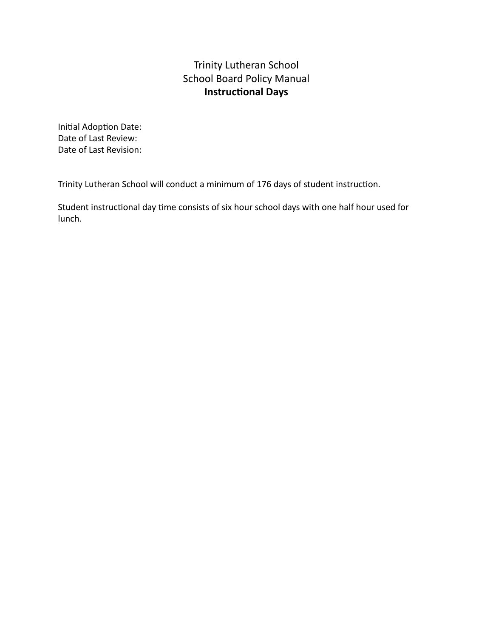## Trinity Lutheran School School Board Policy Manual **Instructional Days**

Initial Adoption Date: Date of Last Review: Date of Last Revision:

Trinity Lutheran School will conduct a minimum of 176 days of student instruction.

Student instructional day time consists of six hour school days with one half hour used for lunch.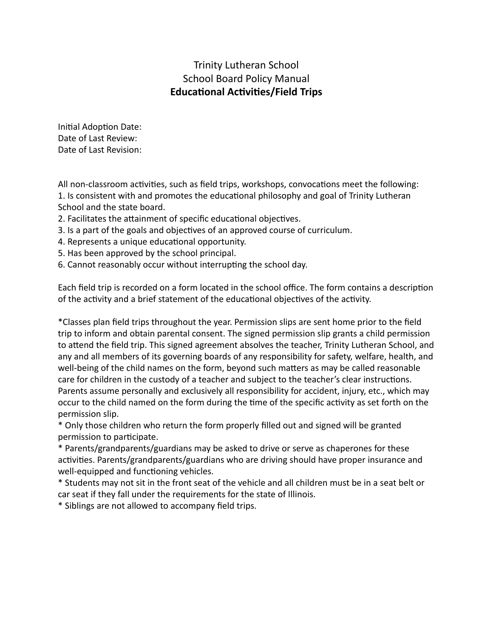## Trinity Lutheran School School Board Policy Manual **Educational Activities/Field Trips**

Initial Adoption Date: Date of Last Review: Date of Last Revision:

All non-classroom activities, such as field trips, workshops, convocations meet the following: 1. Is consistent with and promotes the educational philosophy and goal of Trinity Lutheran School and the state board.

- 2. Facilitates the attainment of specific educational objectives.
- 3. Is a part of the goals and objectives of an approved course of curriculum.
- 4. Represents a unique educational opportunity.
- 5. Has been approved by the school principal.
- 6. Cannot reasonably occur without interrupting the school day.

Each field trip is recorded on a form located in the school office. The form contains a description of the activity and a brief statement of the educational objectives of the activity.

\*Classes plan field trips throughout the year. Permission slips are sent home prior to the field trip to inform and obtain parental consent. The signed permission slip grants a child permission to attend the field trip. This signed agreement absolves the teacher, Trinity Lutheran School, and any and all members of its governing boards of any responsibility for safety, welfare, health, and well-being of the child names on the form, beyond such matters as may be called reasonable care for children in the custody of a teacher and subject to the teacher's clear instructions. Parents assume personally and exclusively all responsibility for accident, injury, etc., which may occur to the child named on the form during the time of the specific activity as set forth on the permission slip.

\* Only those children who return the form properly filled out and signed will be granted permission to participate.

\* Parents/grandparents/guardians may be asked to drive or serve as chaperones for these activities. Parents/grandparents/guardians who are driving should have proper insurance and well-equipped and functioning vehicles.

\* Students may not sit in the front seat of the vehicle and all children must be in a seat belt or car seat if they fall under the requirements for the state of Illinois.

\* Siblings are not allowed to accompany field trips.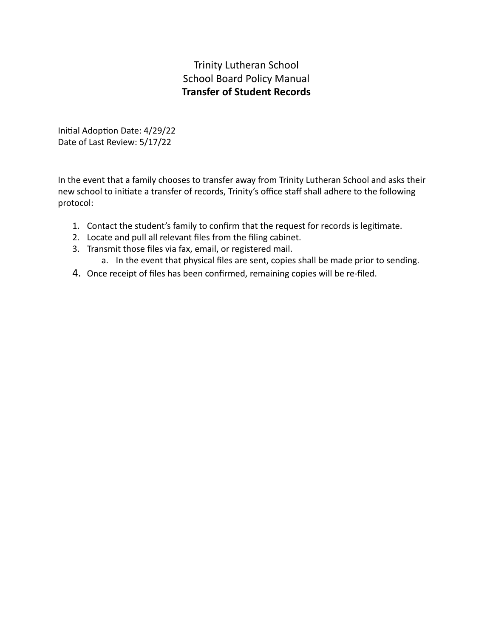# Trinity Lutheran School School Board Policy Manual **Transfer of Student Records**

Initial Adoption Date: 4/29/22 Date of Last Review: 5/17/22

In the event that a family chooses to transfer away from Trinity Lutheran School and asks their new school to initiate a transfer of records, Trinity's office staff shall adhere to the following protocol:

- 1. Contact the student's family to confirm that the request for records is legitimate.
- 2. Locate and pull all relevant files from the filing cabinet.
- 3. Transmit those files via fax, email, or registered mail.
	- a. In the event that physical files are sent, copies shall be made prior to sending.
- 4. Once receipt of files has been confirmed, remaining copies will be re-filed.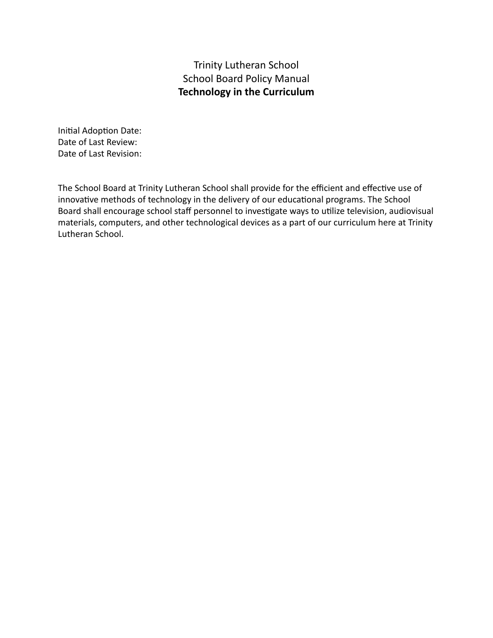## Trinity Lutheran School School Board Policy Manual **Technology in the Curriculum**

Initial Adoption Date: Date of Last Review: Date of Last Revision:

The School Board at Trinity Lutheran School shall provide for the efficient and effective use of innovative methods of technology in the delivery of our educational programs. The School Board shall encourage school staff personnel to investigate ways to utilize television, audiovisual materials, computers, and other technological devices as a part of our curriculum here at Trinity Lutheran School.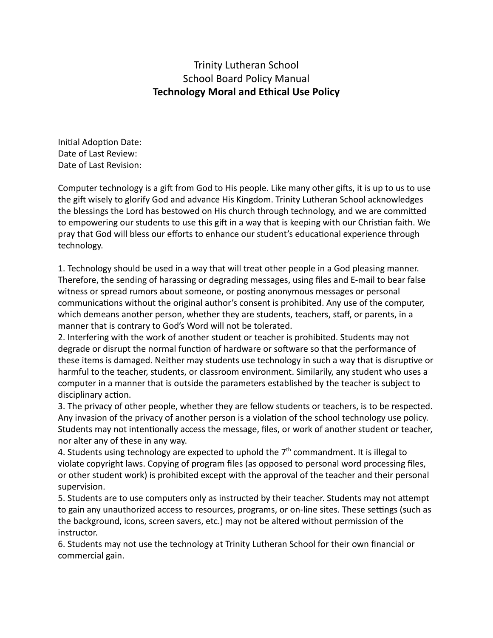#### Trinity Lutheran School School Board Policy Manual **Technology Moral and Ethical Use Policy**

Initial Adoption Date: Date of Last Review: Date of Last Revision:

Computer technology is a gift from God to His people. Like many other gifts, it is up to us to use the gift wisely to glorify God and advance His Kingdom. Trinity Lutheran School acknowledges the blessings the Lord has bestowed on His church through technology, and we are committed to empowering our students to use this gift in a way that is keeping with our Christian faith. We pray that God will bless our efforts to enhance our student's educational experience through technology.

1. Technology should be used in a way that will treat other people in a God pleasing manner. Therefore, the sending of harassing or degrading messages, using files and E-mail to bear false witness or spread rumors about someone, or posting anonymous messages or personal communications without the original author's consent is prohibited. Any use of the computer, which demeans another person, whether they are students, teachers, staff, or parents, in a manner that is contrary to God's Word will not be tolerated.

2. Interfering with the work of another student or teacher is prohibited. Students may not degrade or disrupt the normal function of hardware or software so that the performance of these items is damaged. Neither may students use technology in such a way that is disruptive or harmful to the teacher, students, or classroom environment. Similarily, any student who uses a computer in a manner that is outside the parameters established by the teacher is subject to disciplinary action.

3. The privacy of other people, whether they are fellow students or teachers, is to be respected. Any invasion of the privacy of another person is a violation of the school technology use policy. Students may not intentionally access the message, files, or work of another student or teacher, nor alter any of these in any way.

4. Students using technology are expected to uphold the  $7<sup>th</sup>$  commandment. It is illegal to violate copyright laws. Copying of program files (as opposed to personal word processing files, or other student work) is prohibited except with the approval of the teacher and their personal supervision.

5. Students are to use computers only as instructed by their teacher. Students may not attempt to gain any unauthorized access to resources, programs, or on-line sites. These settings (such as the background, icons, screen savers, etc.) may not be altered without permission of the instructor.

6. Students may not use the technology at Trinity Lutheran School for their own financial or commercial gain.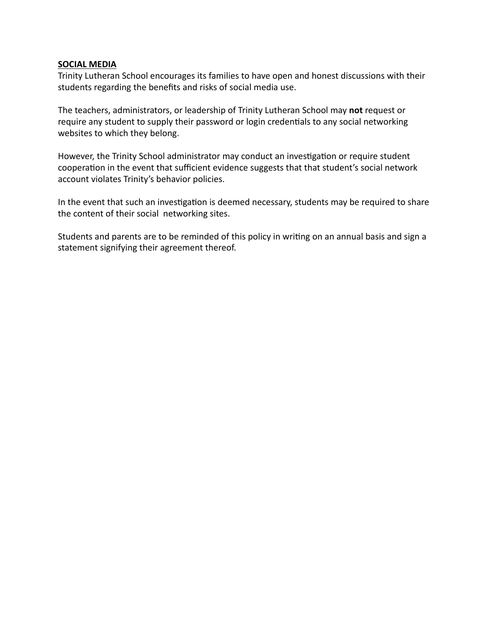#### **SOCIAL MEDIA**

Trinity Lutheran School encourages its families to have open and honest discussions with their students regarding the benefits and risks of social media use.

The teachers, administrators, or leadership of Trinity Lutheran School may **not** request or require any student to supply their password or login credentials to any social networking websites to which they belong.

However, the Trinity School administrator may conduct an investigation or require student cooperation in the event that sufficient evidence suggests that that student's social network account violates Trinity's behavior policies.

In the event that such an investigation is deemed necessary, students may be required to share the content of their social networking sites.

Students and parents are to be reminded of this policy in writing on an annual basis and sign a statement signifying their agreement thereof.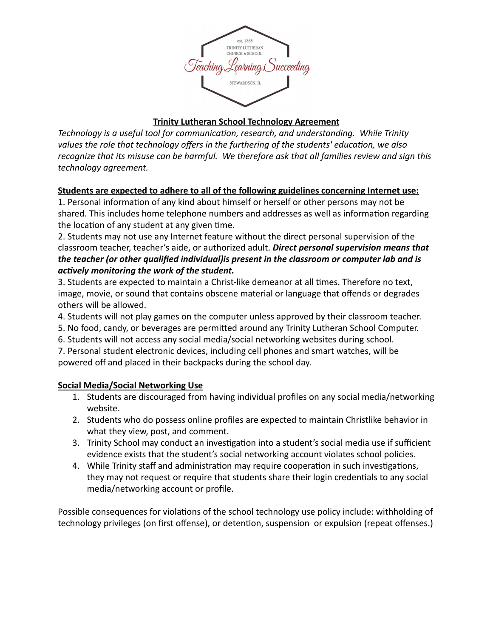

#### **Trinity Lutheran School Technology Agreement**

*Technology is a useful tool for communication, research, and understanding. While Trinity* values the role that technology offers in the furthering of the students' education, we also *recognize that its misuse can be harmful. We therefore ask that all families review and sign this technology agreement.*

#### **Students are expected to adhere to all of the following guidelines concerning Internet use:**

1. Personal information of any kind about himself or herself or other persons may not be shared. This includes home telephone numbers and addresses as well as information regarding the location of any student at any given time.

2. Students may not use any Internet feature without the direct personal supervision of the classroom teacher, teacher's aide, or authorized adult. *Direct personal supervision means that the teacher (or other qualified individual)is present in the classroom or computer lab and is actively monitoring the work of the student.* 

3. Students are expected to maintain a Christ-like demeanor at all times. Therefore no text, image, movie, or sound that contains obscene material or language that offends or degrades others will be allowed.

- 4. Students will not play games on the computer unless approved by their classroom teacher.
- 5. No food, candy, or beverages are permitted around any Trinity Lutheran School Computer.
- 6. Students will not access any social media/social networking websites during school.

7. Personal student electronic devices, including cell phones and smart watches, will be powered off and placed in their backpacks during the school day.

#### **Social Media/Social Networking Use**

- 1. Students are discouraged from having individual profiles on any social media/networking website.
- 2. Students who do possess online profiles are expected to maintain Christlike behavior in what they view, post, and comment.
- 3. Trinity School may conduct an investigation into a student's social media use if sufficient evidence exists that the student's social networking account violates school policies.
- 4. While Trinity staff and administration may require cooperation in such investigations, they may not request or require that students share their login credentials to any social media/networking account or profile.

Possible consequences for violations of the school technology use policy include: withholding of technology privileges (on first offense), or detention, suspension or expulsion (repeat offenses.)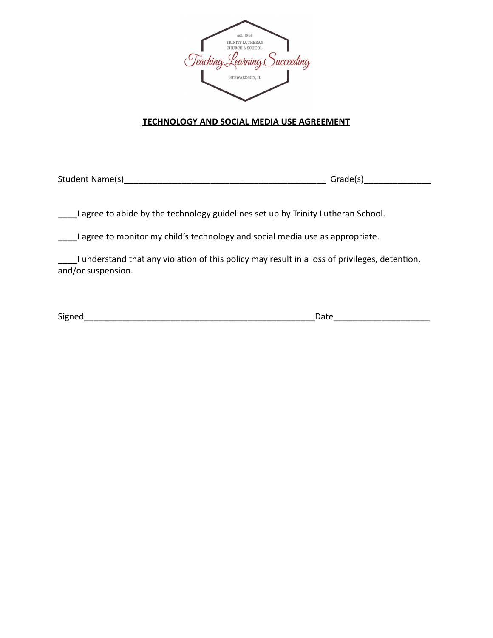

#### **TECHNOLOGY AND SOCIAL MEDIA USE AGREEMENT**

Student Name(s)\_\_\_\_\_\_\_\_\_\_\_\_\_\_\_\_\_\_\_\_\_\_\_\_\_\_\_\_\_\_\_\_\_\_\_\_\_\_\_\_\_\_ Grade(s)\_\_\_\_\_\_\_\_\_\_\_\_\_\_

I agree to abide by the technology guidelines set up by Trinity Lutheran School.

\_\_\_\_I agree to monitor my child's technology and social media use as appropriate.

I understand that any violation of this policy may result in a loss of privileges, detention, and/or suspension.

Signed\_\_\_\_\_\_\_\_\_\_\_\_\_\_\_\_\_\_\_\_\_\_\_\_\_\_\_\_\_\_\_\_\_\_\_\_\_\_\_\_\_\_\_\_\_\_\_\_Date\_\_\_\_\_\_\_\_\_\_\_\_\_\_\_\_\_\_\_\_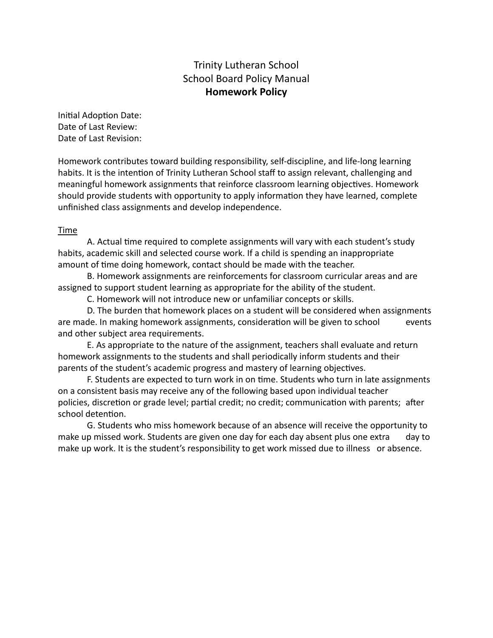#### Trinity Lutheran School School Board Policy Manual **Homework Policy**

Initial Adoption Date: Date of Last Review: Date of Last Revision:

Homework contributes toward building responsibility, self-discipline, and life-long learning habits. It is the intention of Trinity Lutheran School staff to assign relevant, challenging and meaningful homework assignments that reinforce classroom learning objectives. Homework should provide students with opportunity to apply information they have learned, complete unfinished class assignments and develop independence.

#### Time

A. Actual time required to complete assignments will vary with each student's study habits, academic skill and selected course work. If a child is spending an inappropriate amount of time doing homework, contact should be made with the teacher.

B. Homework assignments are reinforcements for classroom curricular areas and are assigned to support student learning as appropriate for the ability of the student.

C. Homework will not introduce new or unfamiliar concepts or skills.

D. The burden that homework places on a student will be considered when assignments are made. In making homework assignments, consideration will be given to school events and other subject area requirements.

E. As appropriate to the nature of the assignment, teachers shall evaluate and return homework assignments to the students and shall periodically inform students and their parents of the student's academic progress and mastery of learning objectives.

F. Students are expected to turn work in on time. Students who turn in late assignments on a consistent basis may receive any of the following based upon individual teacher policies, discretion or grade level; partial credit; no credit; communication with parents; after school detention.

G. Students who miss homework because of an absence will receive the opportunity to make up missed work. Students are given one day for each day absent plus one extra day to make up work. It is the student's responsibility to get work missed due to illness or absence.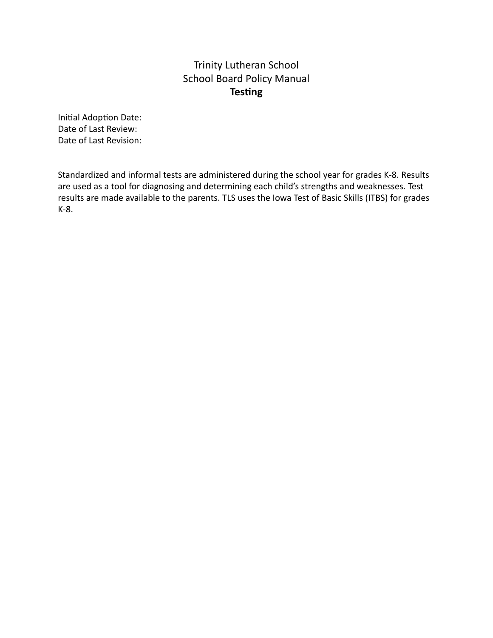# Trinity Lutheran School School Board Policy Manual **Testing**

Initial Adoption Date: Date of Last Review: Date of Last Revision:

Standardized and informal tests are administered during the school year for grades K-8. Results are used as a tool for diagnosing and determining each child's strengths and weaknesses. Test results are made available to the parents. TLS uses the Iowa Test of Basic Skills (ITBS) for grades K-8.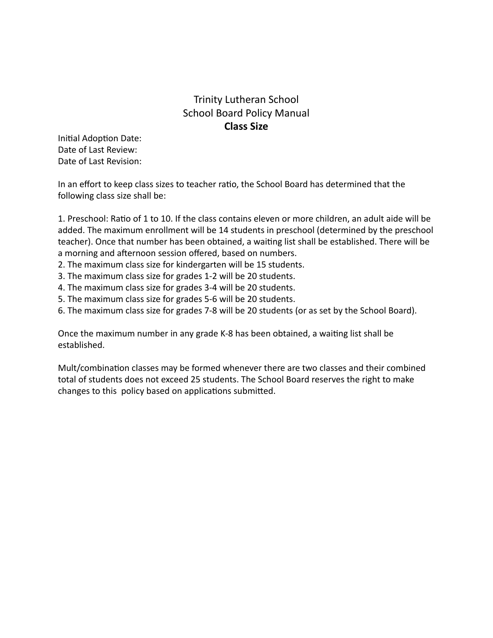# Trinity Lutheran School School Board Policy Manual **Class Size**

Initial Adoption Date: Date of Last Review: Date of Last Revision:

In an effort to keep class sizes to teacher ratio, the School Board has determined that the following class size shall be:

1. Preschool: Ratio of 1 to 10. If the class contains eleven or more children, an adult aide will be added. The maximum enrollment will be 14 students in preschool (determined by the preschool teacher). Once that number has been obtained, a waiting list shall be established. There will be a morning and afternoon session offered, based on numbers.

- 2. The maximum class size for kindergarten will be 15 students.
- 3. The maximum class size for grades 1-2 will be 20 students.
- 4. The maximum class size for grades 3-4 will be 20 students.
- 5. The maximum class size for grades 5-6 will be 20 students.
- 6. The maximum class size for grades 7-8 will be 20 students (or as set by the School Board).

Once the maximum number in any grade K-8 has been obtained, a waiting list shall be established.

Mult/combination classes may be formed whenever there are two classes and their combined total of students does not exceed 25 students. The School Board reserves the right to make changes to this policy based on applications submitted.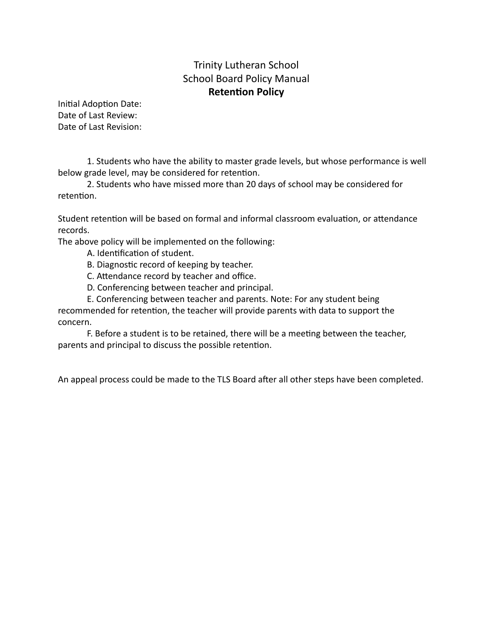## Trinity Lutheran School School Board Policy Manual **Retention Policy**

Initial Adoption Date: Date of Last Review: Date of Last Revision:

1. Students who have the ability to master grade levels, but whose performance is well below grade level, may be considered for retention.

2. Students who have missed more than 20 days of school may be considered for retention.

Student retention will be based on formal and informal classroom evaluation, or attendance records.

The above policy will be implemented on the following:

- A. Identification of student.
- B. Diagnostic record of keeping by teacher.
- C. Attendance record by teacher and office.
- D. Conferencing between teacher and principal.
- E. Conferencing between teacher and parents. Note: For any student being recommended for retention, the teacher will provide parents with data to support the concern.

F. Before a student is to be retained, there will be a meeting between the teacher, parents and principal to discuss the possible retention.

An appeal process could be made to the TLS Board after all other steps have been completed.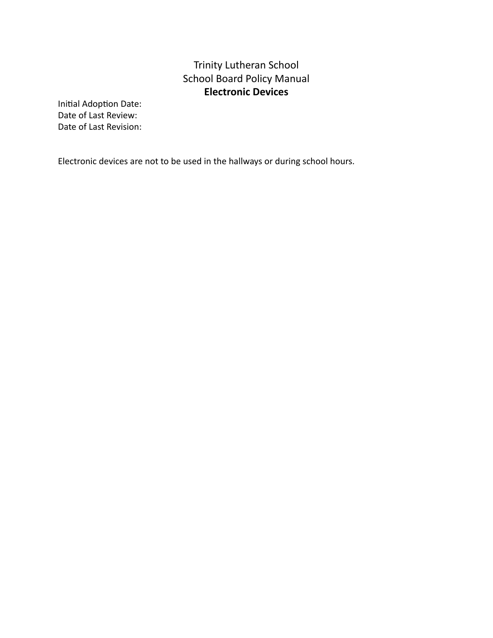# Trinity Lutheran School School Board Policy Manual **Electronic Devices**

Initial Adoption Date: Date of Last Review: Date of Last Revision:

Electronic devices are not to be used in the hallways or during school hours.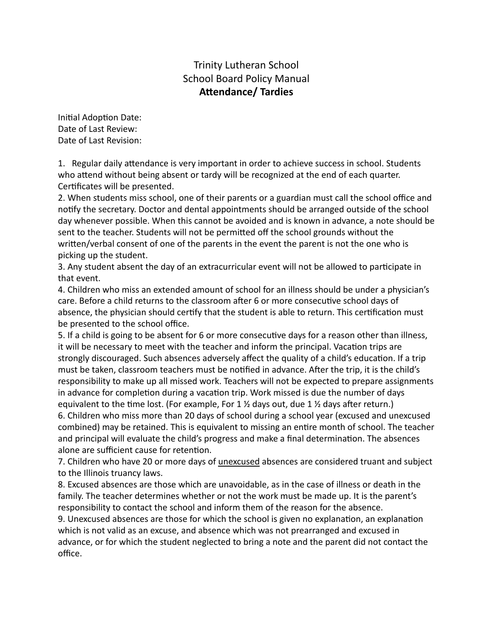## Trinity Lutheran School School Board Policy Manual **Attendance/** Tardies

Initial Adoption Date: Date of Last Review: Date of Last Revision:

1. Regular daily attendance is very important in order to achieve success in school. Students who attend without being absent or tardy will be recognized at the end of each quarter. Certificates will be presented.

2. When students miss school, one of their parents or a guardian must call the school office and notify the secretary. Doctor and dental appointments should be arranged outside of the school day whenever possible. When this cannot be avoided and is known in advance, a note should be sent to the teacher. Students will not be permitted off the school grounds without the written/verbal consent of one of the parents in the event the parent is not the one who is picking up the student.

3. Any student absent the day of an extracurricular event will not be allowed to participate in that event.

4. Children who miss an extended amount of school for an illness should be under a physician's care. Before a child returns to the classroom after 6 or more consecutive school days of absence, the physician should certify that the student is able to return. This certification must be presented to the school office.

5. If a child is going to be absent for 6 or more consecutive days for a reason other than illness, it will be necessary to meet with the teacher and inform the principal. Vacation trips are strongly discouraged. Such absences adversely affect the quality of a child's education. If a trip must be taken, classroom teachers must be notified in advance. After the trip, it is the child's responsibility to make up all missed work. Teachers will not be expected to prepare assignments in advance for completion during a vacation trip. Work missed is due the number of days equivalent to the time lost. (For example, For 1  $\frac{1}{2}$  days out, due 1  $\frac{1}{2}$  days after return.) 6. Children who miss more than 20 days of school during a school year (excused and unexcused

combined) may be retained. This is equivalent to missing an entire month of school. The teacher and principal will evaluate the child's progress and make a final determination. The absences alone are sufficient cause for retention.

7. Children who have 20 or more days of unexcused absences are considered truant and subject to the Illinois truancy laws.

8. Excused absences are those which are unavoidable, as in the case of illness or death in the family. The teacher determines whether or not the work must be made up. It is the parent's responsibility to contact the school and inform them of the reason for the absence.

9. Unexcused absences are those for which the school is given no explanation, an explanation which is not valid as an excuse, and absence which was not prearranged and excused in advance, or for which the student neglected to bring a note and the parent did not contact the office.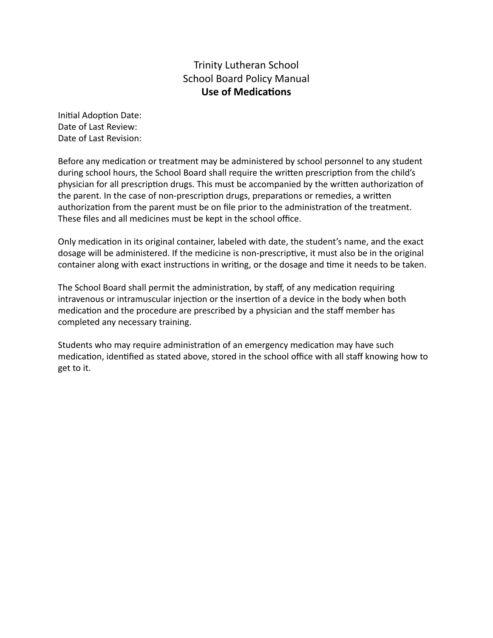#### Trinity Lutheran School School Board Policy Manual **Use of Medications**

Initial Adoption Date: Date of Last Review: Date of Last Revision:

Before any medication or treatment may be administered by school personnel to any student during school hours, the School Board shall require the written prescription from the child's physician for all prescription drugs. This must be accompanied by the written authorization of the parent. In the case of non-prescription drugs, preparations or remedies, a written authorization from the parent must be on file prior to the administration of the treatment. These files and all medicines must be kept in the school office.

Only medication in its original container, labeled with date, the student's name, and the exact dosage will be administered. If the medicine is non-prescriptive, it must also be in the original container along with exact instructions in writing, or the dosage and time it needs to be taken.

The School Board shall permit the administration, by staff, of any medication requiring intravenous or intramuscular injection or the insertion of a device in the body when both medication and the procedure are prescribed by a physician and the staff member has completed any necessary training.

Students who may require administration of an emergency medication may have such medication, identified as stated above, stored in the school office with all staff knowing how to get to it.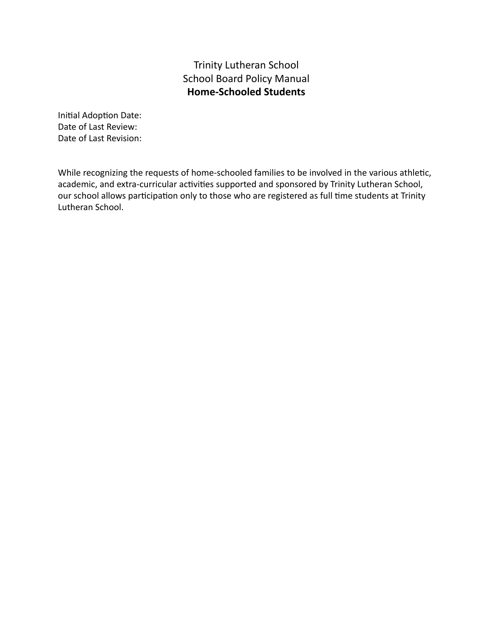## Trinity Lutheran School School Board Policy Manual **Home-Schooled Students**

Initial Adoption Date: Date of Last Review: Date of Last Revision:

While recognizing the requests of home-schooled families to be involved in the various athletic, academic, and extra-curricular activities supported and sponsored by Trinity Lutheran School, our school allows participation only to those who are registered as full time students at Trinity Lutheran School.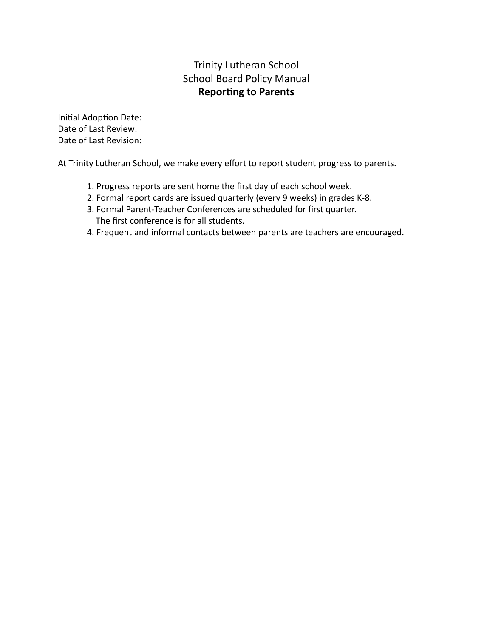# Trinity Lutheran School School Board Policy Manual **Reporting to Parents**

Initial Adoption Date: Date of Last Review: Date of Last Revision:

At Trinity Lutheran School, we make every effort to report student progress to parents.

- 1. Progress reports are sent home the first day of each school week.
- 2. Formal report cards are issued quarterly (every 9 weeks) in grades K-8.
- 3. Formal Parent-Teacher Conferences are scheduled for first quarter. The first conference is for all students.
- 4. Frequent and informal contacts between parents are teachers are encouraged.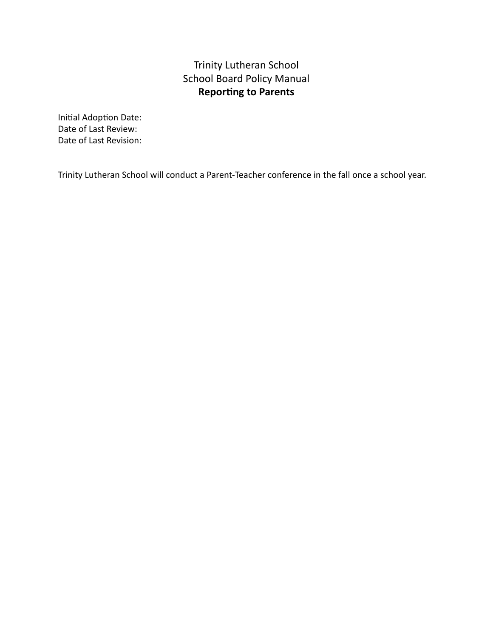# Trinity Lutheran School School Board Policy Manual **Reporting to Parents**

Initial Adoption Date: Date of Last Review: Date of Last Revision:

Trinity Lutheran School will conduct a Parent-Teacher conference in the fall once a school year.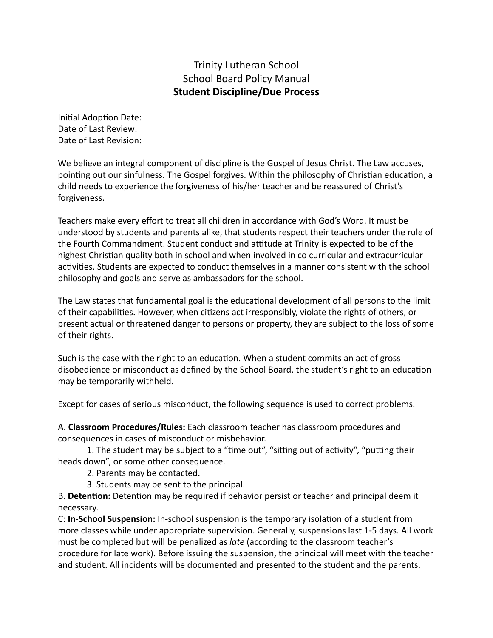### Trinity Lutheran School School Board Policy Manual **Student Discipline/Due Process**

Initial Adoption Date: Date of Last Review: Date of Last Revision:

We believe an integral component of discipline is the Gospel of Jesus Christ. The Law accuses, pointing out our sinfulness. The Gospel forgives. Within the philosophy of Christian education, a child needs to experience the forgiveness of his/her teacher and be reassured of Christ's forgiveness.

Teachers make every effort to treat all children in accordance with God's Word. It must be understood by students and parents alike, that students respect their teachers under the rule of the Fourth Commandment. Student conduct and attitude at Trinity is expected to be of the highest Christian quality both in school and when involved in co curricular and extracurricular activities. Students are expected to conduct themselves in a manner consistent with the school philosophy and goals and serve as ambassadors for the school.

The Law states that fundamental goal is the educational development of all persons to the limit of their capabilities. However, when citizens act irresponsibly, violate the rights of others, or present actual or threatened danger to persons or property, they are subject to the loss of some of their rights.

Such is the case with the right to an education. When a student commits an act of gross disobedience or misconduct as defined by the School Board, the student's right to an education may be temporarily withheld.

Except for cases of serious misconduct, the following sequence is used to correct problems.

A. **Classroom Procedures/Rules:** Each classroom teacher has classroom procedures and consequences in cases of misconduct or misbehavior.

1. The student may be subject to a "time out", "sitting out of activity", "putting their heads down", or some other consequence.

2. Parents may be contacted.

3. Students may be sent to the principal.

B. Detention: Detention may be required if behavior persist or teacher and principal deem it necessary.

C: **In-School Suspension:** In-school suspension is the temporary isolation of a student from more classes while under appropriate supervision. Generally, suspensions last 1-5 days. All work must be completed but will be penalized as *late* (according to the classroom teacher's procedure for late work). Before issuing the suspension, the principal will meet with the teacher and student. All incidents will be documented and presented to the student and the parents.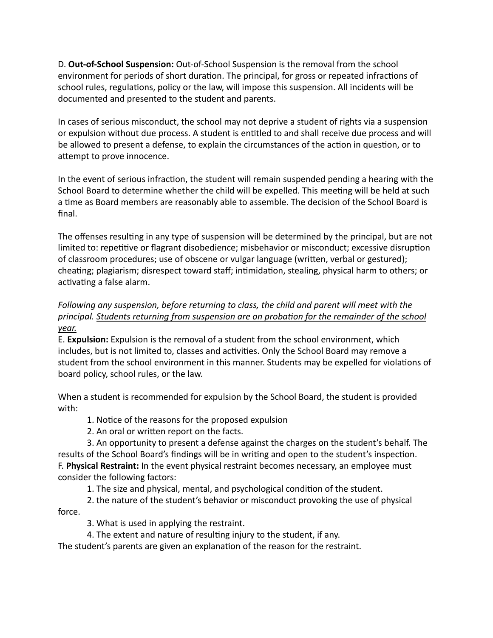D. **Out-of-School Suspension:** Out-of-School Suspension is the removal from the school environment for periods of short duration. The principal, for gross or repeated infractions of school rules, regulations, policy or the law, will impose this suspension. All incidents will be documented and presented to the student and parents.

In cases of serious misconduct, the school may not deprive a student of rights via a suspension or expulsion without due process. A student is entitled to and shall receive due process and will be allowed to present a defense, to explain the circumstances of the action in question, or to attempt to prove innocence.

In the event of serious infraction, the student will remain suspended pending a hearing with the School Board to determine whether the child will be expelled. This meeting will be held at such a time as Board members are reasonably able to assemble. The decision of the School Board is final.

The offenses resulting in any type of suspension will be determined by the principal, but are not limited to: repetitive or flagrant disobedience; misbehavior or misconduct; excessive disruption of classroom procedures; use of obscene or vulgar language (written, verbal or gestured); cheating; plagiarism; disrespect toward staff; intimidation, stealing, physical harm to others; or activating a false alarm.

### *Following any suspension, before returning to class, the child and parent will meet with the principal. Students returning from suspension are on probation for the remainder of the school year.*

E. **Expulsion:** Expulsion is the removal of a student from the school environment, which includes, but is not limited to, classes and activities. Only the School Board may remove a student from the school environment in this manner. Students may be expelled for violations of board policy, school rules, or the law.

When a student is recommended for expulsion by the School Board, the student is provided with:

1. Notice of the reasons for the proposed expulsion

2. An oral or written report on the facts.

3. An opportunity to present a defense against the charges on the student's behalf. The results of the School Board's findings will be in writing and open to the student's inspection. F. **Physical Restraint:** In the event physical restraint becomes necessary, an employee must consider the following factors:

1. The size and physical, mental, and psychological condition of the student.

2. the nature of the student's behavior or misconduct provoking the use of physical force.

3. What is used in applying the restraint.

4. The extent and nature of resulting injury to the student, if any.

The student's parents are given an explanation of the reason for the restraint.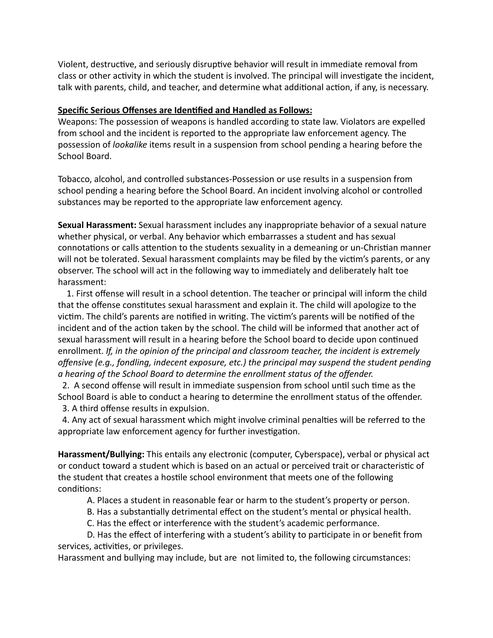Violent, destructive, and seriously disruptive behavior will result in immediate removal from class or other activity in which the student is involved. The principal will investigate the incident, talk with parents, child, and teacher, and determine what additional action, if any, is necessary.

#### **Specific Serious Offenses are Identified and Handled as Follows:**

Weapons: The possession of weapons is handled according to state law. Violators are expelled from school and the incident is reported to the appropriate law enforcement agency. The possession of *lookalike* items result in a suspension from school pending a hearing before the School Board.

Tobacco, alcohol, and controlled substances-Possession or use results in a suspension from school pending a hearing before the School Board. An incident involving alcohol or controlled substances may be reported to the appropriate law enforcement agency.

**Sexual Harassment:** Sexual harassment includes any inappropriate behavior of a sexual nature whether physical, or verbal. Any behavior which embarrasses a student and has sexual connotations or calls attention to the students sexuality in a demeaning or un-Christian manner will not be tolerated. Sexual harassment complaints may be filed by the victim's parents, or any observer. The school will act in the following way to immediately and deliberately halt toe harassment:

1. First offense will result in a school detention. The teacher or principal will inform the child that the offense constitutes sexual harassment and explain it. The child will apologize to the victim. The child's parents are notified in writing. The victim's parents will be notified of the incident and of the action taken by the school. The child will be informed that another act of sexual harassment will result in a hearing before the School board to decide upon continued enrollment. *If, in the opinion of the principal and classroom teacher, the incident is extremely offensive (e.g., fondling, indecent exposure, etc.) the principal may suspend the student pending a hearing of the School Board to determine the enrollment status of the offender.*

2. A second offense will result in immediate suspension from school until such time as the School Board is able to conduct a hearing to determine the enrollment status of the offender. 3. A third offense results in expulsion.

4. Any act of sexual harassment which might involve criminal penalties will be referred to the appropriate law enforcement agency for further investigation.

**Harassment/Bullying:** This entails any electronic (computer, Cyberspace), verbal or physical act or conduct toward a student which is based on an actual or perceived trait or characteristic of the student that creates a hostile school environment that meets one of the following conditions:

A. Places a student in reasonable fear or harm to the student's property or person.

B. Has a substantially detrimental effect on the student's mental or physical health.

C. Has the effect or interference with the student's academic performance.

D. Has the effect of interfering with a student's ability to participate in or benefit from services, activities, or privileges.

Harassment and bullying may include, but are not limited to, the following circumstances: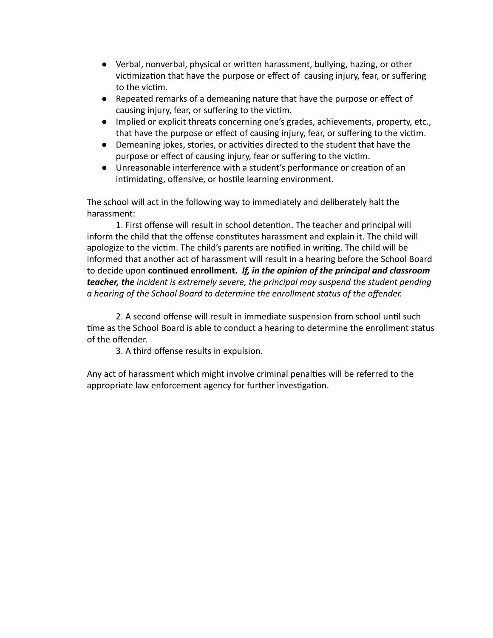- Verbal, nonverbal, physical or written harassment, bullying, hazing, or other victimization that have the purpose or effect of causing injury, fear, or suffering to the victim.
- Repeated remarks of a demeaning nature that have the purpose or effect of causing injury, fear, or suffering to the vicm.
- Implied or explicit threats concerning one's grades, achievements, property, etc., that have the purpose or effect of causing injury, fear, or suffering to the vicm.
- Demeaning jokes, stories, or activities directed to the student that have the purpose or effect of causing injury, fear or suffering to the vicm.
- Unreasonable interference with a student's performance or creation of an intimidating, offensive, or hostile learning environment.

The school will act in the following way to immediately and deliberately halt the harassment:

1. First offense will result in school detention. The teacher and principal will inform the child that the offense constitutes harassment and explain it. The child will apologize to the victim. The child's parents are notified in writing. The child will be informed that another act of harassment will result in a hearing before the School Board to decide upon **connued enrollment.** *If, in the opinion of the principal and classroom teacher, the incident is extremely severe, the principal may suspend the student pending a hearing of the School Board to determine the enrollment status of the offender.*

2. A second offense will result in immediate suspension from school until such time as the School Board is able to conduct a hearing to determine the enrollment status of the offender.

3. A third offense results in expulsion.

Any act of harassment which might involve criminal penalties will be referred to the appropriate law enforcement agency for further investigation.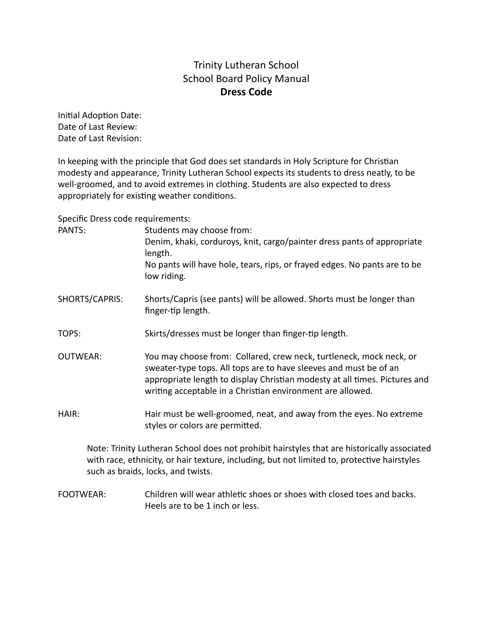# Trinity Lutheran School School Board Policy Manual **Dress Code**

Initial Adoption Date: Date of Last Review: Date of Last Revision:

In keeping with the principle that God does set standards in Holy Scripture for Christian modesty and appearance, Trinity Lutheran School expects its students to dress neatly, to be well-groomed, and to avoid extremes in clothing. Students are also expected to dress appropriately for existing weather conditions.

Specific Dress code requirements:

| PANTS:          | Students may choose from:<br>Denim, khaki, corduroys, knit, cargo/painter dress pants of appropriate<br>length.<br>No pants will have hole, tears, rips, or frayed edges. No pants are to be<br>low riding.                                                                          |
|-----------------|--------------------------------------------------------------------------------------------------------------------------------------------------------------------------------------------------------------------------------------------------------------------------------------|
| SHORTS/CAPRIS:  | Shorts/Capris (see pants) will be allowed. Shorts must be longer than<br>finger-tip length.                                                                                                                                                                                          |
| TOPS:           | Skirts/dresses must be longer than finger-tip length.                                                                                                                                                                                                                                |
| <b>OUTWEAR:</b> | You may choose from: Collared, crew neck, turtleneck, mock neck, or<br>sweater-type tops. All tops are to have sleeves and must be of an<br>appropriate length to display Christian modesty at all times. Pictures and<br>writing acceptable in a Christian environment are allowed. |
| HAIR:           | Hair must be well-groomed, neat, and away from the eyes. No extreme<br>styles or colors are permitted.                                                                                                                                                                               |
|                 | Note: Trinity Lutheran School does not prohibit hairstyles that are historically associated                                                                                                                                                                                          |

with race, ethnicity, or hair texture, including, but not limited to, protective hairstyles such as braids, locks, and twists.

FOOTWEAR: Children will wear athletic shoes or shoes with closed toes and backs. Heels are to be 1 inch or less.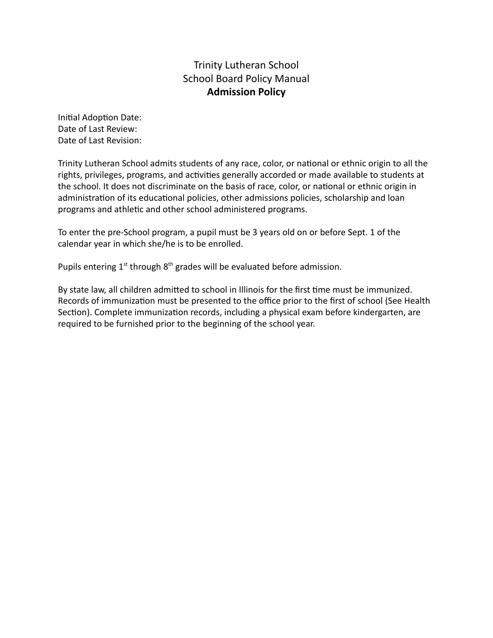# Trinity Lutheran School School Board Policy Manual **Admission Policy**

Initial Adoption Date: Date of Last Review: Date of Last Revision:

Trinity Lutheran School admits students of any race, color, or national or ethnic origin to all the rights, privileges, programs, and activities generally accorded or made available to students at the school. It does not discriminate on the basis of race, color, or national or ethnic origin in administration of its educational policies, other admissions policies, scholarship and loan programs and athletic and other school administered programs.

To enter the pre-School program, a pupil must be 3 years old on or before Sept. 1 of the calendar year in which she/he is to be enrolled.

Pupils entering  $1^{st}$  through  $8^{th}$  grades will be evaluated before admission.

By state law, all children admitted to school in Illinois for the first time must be immunized. Records of immunization must be presented to the office prior to the first of school (See Health Section). Complete immunization records, including a physical exam before kindergarten, are required to be furnished prior to the beginning of the school year.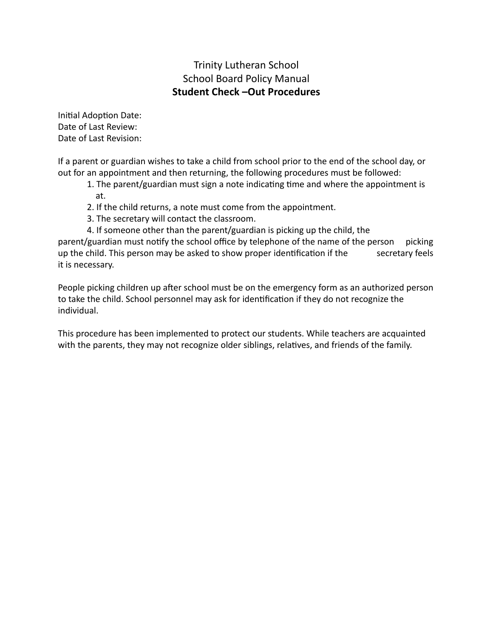### Trinity Lutheran School School Board Policy Manual **Student Check –Out Procedures**

Initial Adoption Date: Date of Last Review: Date of Last Revision:

If a parent or guardian wishes to take a child from school prior to the end of the school day, or out for an appointment and then returning, the following procedures must be followed:

1. The parent/guardian must sign a note indicating time and where the appointment is at.

- 2. If the child returns, a note must come from the appointment.
- 3. The secretary will contact the classroom.
- 4. If someone other than the parent/guardian is picking up the child, the

parent/guardian must notify the school office by telephone of the name of the person picking up the child. This person may be asked to show proper identification if the secretary feels it is necessary.

People picking children up after school must be on the emergency form as an authorized person to take the child. School personnel may ask for identification if they do not recognize the individual.

This procedure has been implemented to protect our students. While teachers are acquainted with the parents, they may not recognize older siblings, relatives, and friends of the family.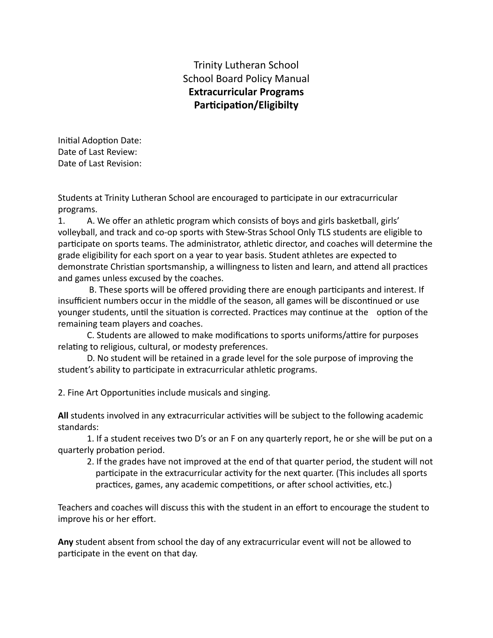# Trinity Lutheran School School Board Policy Manual **Extracurricular Programs Participation/Eligibilty**

Initial Adoption Date: Date of Last Review: Date of Last Revision:

Students at Trinity Lutheran School are encouraged to participate in our extracurricular programs.

1. A. We offer an athletic program which consists of boys and girls basketball, girls' volleyball, and track and co-op sports with Stew-Stras School Only TLS students are eligible to participate on sports teams. The administrator, athletic director, and coaches will determine the grade eligibility for each sport on a year to year basis. Student athletes are expected to demonstrate Christian sportsmanship, a willingness to listen and learn, and attend all practices and games unless excused by the coaches.

B. These sports will be offered providing there are enough participants and interest. If insufficient numbers occur in the middle of the season, all games will be discontinued or use younger students, until the situation is corrected. Practices may continue at the option of the remaining team players and coaches.

C. Students are allowed to make modifications to sports uniforms/attire for purposes relating to religious, cultural, or modesty preferences.

D. No student will be retained in a grade level for the sole purpose of improving the student's ability to participate in extracurricular athletic programs.

2. Fine Art Opportunities include musicals and singing.

All students involved in any extracurricular activities will be subject to the following academic standards:

1. If a student receives two D's or an F on any quarterly report, he or she will be put on a quarterly probation period.

2. If the grades have not improved at the end of that quarter period, the student will not participate in the extracurricular activity for the next quarter. (This includes all sports practices, games, any academic competitions, or after school activities, etc.)

Teachers and coaches will discuss this with the student in an effort to encourage the student to improve his or her effort.

**Any** student absent from school the day of any extracurricular event will not be allowed to participate in the event on that day.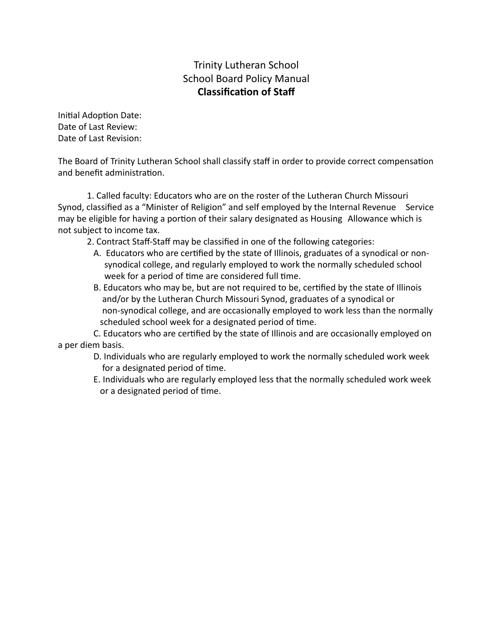# Trinity Lutheran School School Board Policy Manual **Classification of Staff**

Initial Adoption Date: Date of Last Review: Date of Last Revision:

The Board of Trinity Lutheran School shall classify staff in order to provide correct compensation and benefit administration.

1. Called faculty: Educators who are on the roster of the Lutheran Church Missouri Synod, classified as a "Minister of Religion" and self employed by the Internal Revenue Service may be eligible for having a portion of their salary designated as Housing Allowance which is not subject to income tax.

2. Contract Staff-Staff may be classified in one of the following categories:

- A. Educators who are cerfied by the state of Illinois, graduates of a synodical or nonsynodical college, and regularly employed to work the normally scheduled school week for a period of time are considered full time.
- B. Educators who may be, but are not required to be, certified by the state of Illinois and/or by the Lutheran Church Missouri Synod, graduates of a synodical or non-synodical college, and are occasionally employed to work less than the normally scheduled school week for a designated period of time.

C. Educators who are cerfied by the state of Illinois and are occasionally employed on a per diem basis.

- D. Individuals who are regularly employed to work the normally scheduled work week for a designated period of time.
- E. Individuals who are regularly employed less that the normally scheduled work week or a designated period of time.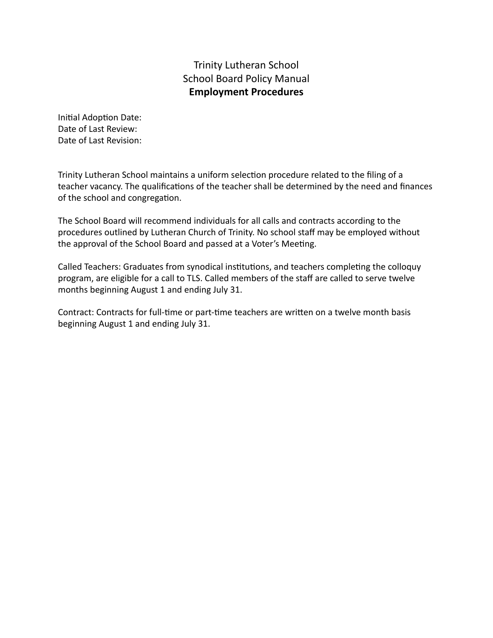# Trinity Lutheran School School Board Policy Manual **Employment Procedures**

Initial Adoption Date: Date of Last Review: Date of Last Revision:

Trinity Lutheran School maintains a uniform selection procedure related to the filing of a teacher vacancy. The qualifications of the teacher shall be determined by the need and finances of the school and congregation.

The School Board will recommend individuals for all calls and contracts according to the procedures outlined by Lutheran Church of Trinity. No school staff may be employed without the approval of the School Board and passed at a Voter's Meeting.

Called Teachers: Graduates from synodical institutions, and teachers completing the colloquy program, are eligible for a call to TLS. Called members of the staff are called to serve twelve months beginning August 1 and ending July 31.

Contract: Contracts for full-time or part-time teachers are written on a twelve month basis beginning August 1 and ending July 31.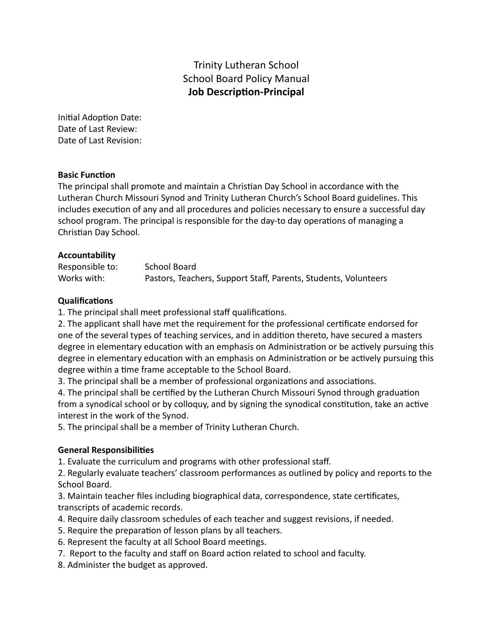# Trinity Lutheran School School Board Policy Manual **Job Description-Principal**

Initial Adoption Date: Date of Last Review: Date of Last Revision:

#### **Basic Function**

The principal shall promote and maintain a Christian Day School in accordance with the Lutheran Church Missouri Synod and Trinity Lutheran Church's School Board guidelines. This includes execution of any and all procedures and policies necessary to ensure a successful day school program. The principal is responsible for the day-to day operations of managing a Christian Day School.

#### **Accountability**

| Responsible to: | School Board                                                    |
|-----------------|-----------------------------------------------------------------|
| Works with:     | Pastors, Teachers, Support Staff, Parents, Students, Volunteers |

#### **Qualifications**

1. The principal shall meet professional staff qualifications.

2. The applicant shall have met the requirement for the professional cerficate endorsed for one of the several types of teaching services, and in addition thereto, have secured a masters degree in elementary education with an emphasis on Administration or be actively pursuing this degree in elementary education with an emphasis on Administration or be actively pursuing this degree within a time frame acceptable to the School Board.

3. The principal shall be a member of professional organizations and associations.

4. The principal shall be certified by the Lutheran Church Missouri Synod through graduation from a synodical school or by colloquy, and by signing the synodical constitution, take an active interest in the work of the Synod.

5. The principal shall be a member of Trinity Lutheran Church.

### **General Responsibilies**

1. Evaluate the curriculum and programs with other professional staff.

2. Regularly evaluate teachers' classroom performances as outlined by policy and reports to the School Board.

3. Maintain teacher files including biographical data, correspondence, state cerficates, transcripts of academic records.

- 4. Require daily classroom schedules of each teacher and suggest revisions, if needed.
- 5. Require the preparation of lesson plans by all teachers.
- 6. Represent the faculty at all School Board meetings.
- 7. Report to the faculty and staff on Board action related to school and faculty.
- 8. Administer the budget as approved.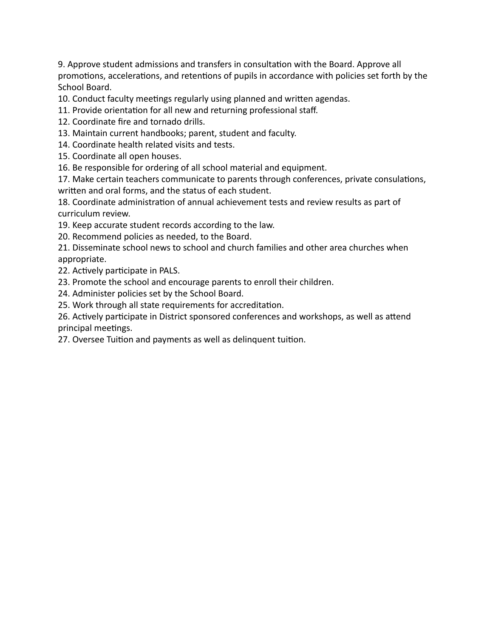9. Approve student admissions and transfers in consultation with the Board. Approve all promotions, accelerations, and retentions of pupils in accordance with policies set forth by the School Board.

10. Conduct faculty meetings regularly using planned and written agendas.

11. Provide orientation for all new and returning professional staff.

- 12. Coordinate fire and tornado drills.
- 13. Maintain current handbooks; parent, student and faculty.
- 14. Coordinate health related visits and tests.
- 15. Coordinate all open houses.

16. Be responsible for ordering of all school material and equipment.

17. Make certain teachers communicate to parents through conferences, private consulations, written and oral forms, and the status of each student.

18. Coordinate administration of annual achievement tests and review results as part of curriculum review.

19. Keep accurate student records according to the law.

20. Recommend policies as needed, to the Board.

21. Disseminate school news to school and church families and other area churches when appropriate.

22. Actively participate in PALS.

23. Promote the school and encourage parents to enroll their children.

24. Administer policies set by the School Board.

25. Work through all state requirements for accreditation.

26. Actively participate in District sponsored conferences and workshops, as well as attend principal meetings.

27. Oversee Tuition and payments as well as delinquent tuition.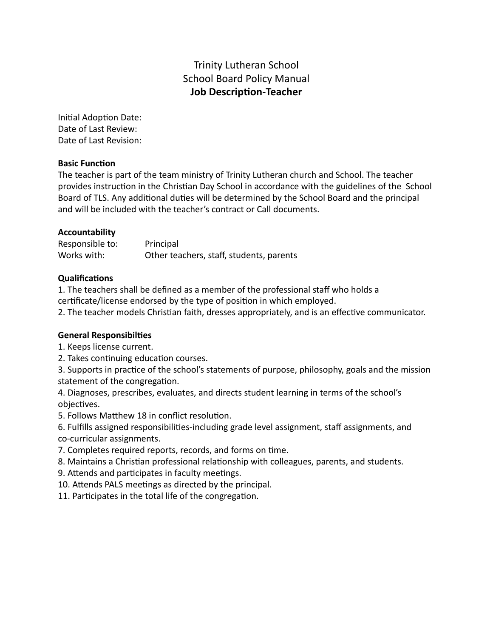# Trinity Lutheran School School Board Policy Manual **Job Description-Teacher**

Initial Adoption Date: Date of Last Review: Date of Last Revision:

#### **Basic Function**

The teacher is part of the team ministry of Trinity Lutheran church and School. The teacher provides instruction in the Christian Day School in accordance with the guidelines of the School Board of TLS. Any additional duties will be determined by the School Board and the principal and will be included with the teacher's contract or Call documents.

#### **Accountability**

Responsible to: Principal Works with: Other teachers, staff, students, parents

### **Qualifications**

1. The teachers shall be defined as a member of the professional staff who holds a certificate/license endorsed by the type of position in which employed.

2. The teacher models Christian faith, dresses appropriately, and is an effective communicator.

#### **General Responsibiles**

1. Keeps license current.

2. Takes continuing education courses.

3. Supports in practice of the school's statements of purpose, philosophy, goals and the mission statement of the congregation.

4. Diagnoses, prescribes, evaluates, and directs student learning in terms of the school's objectives.

5. Follows Matthew 18 in conflict resolution.

6. Fulfills assigned responsibilities-including grade level assignment, staff assignments, and co-curricular assignments.

7. Completes required reports, records, and forms on time.

8. Maintains a Christian professional relationship with colleagues, parents, and students.

9. Attends and participates in faculty meetings.

10. Attends PALS meetings as directed by the principal.

11. Participates in the total life of the congregation.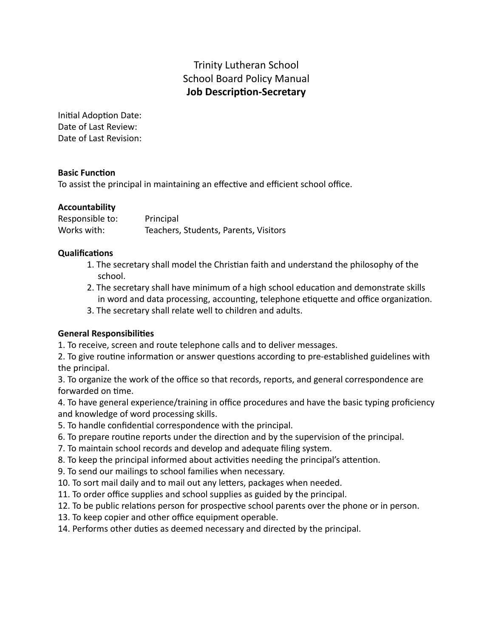# Trinity Lutheran School School Board Policy Manual **Job Description-Secretary**

Initial Adoption Date: Date of Last Review: Date of Last Revision:

### **Basic Function**

To assist the principal in maintaining an effective and efficient school office.

### **Accountability**

| Responsible to: | Principal                             |
|-----------------|---------------------------------------|
| Works with:     | Teachers, Students, Parents, Visitors |

#### **Qualifications**

- 1. The secretary shall model the Christian faith and understand the philosophy of the school.
- 2. The secretary shall have minimum of a high school education and demonstrate skills in word and data processing, accounting, telephone etiquette and office organization.
- 3. The secretary shall relate well to children and adults.

### **General Responsibilies**

1. To receive, screen and route telephone calls and to deliver messages.

2. To give routine information or answer questions according to pre-established guidelines with the principal.

3. To organize the work of the office so that records, reports, and general correspondence are forwarded on time.

4. To have general experience/training in office procedures and have the basic typing proficiency and knowledge of word processing skills.

- 5. To handle confidential correspondence with the principal.
- 6. To prepare routine reports under the direction and by the supervision of the principal.
- 7. To maintain school records and develop and adequate filing system.
- 8. To keep the principal informed about activities needing the principal's attention.
- 9. To send our mailings to school families when necessary.
- 10. To sort mail daily and to mail out any letters, packages when needed.
- 11. To order office supplies and school supplies as guided by the principal.
- 12. To be public relations person for prospective school parents over the phone or in person.
- 13. To keep copier and other office equipment operable.
- 14. Performs other duties as deemed necessary and directed by the principal.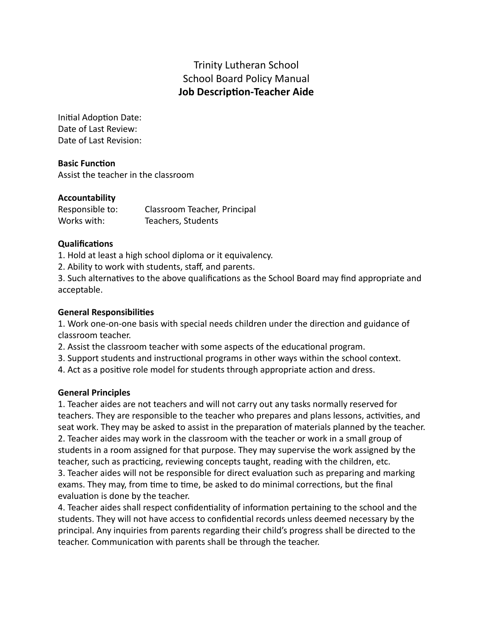# Trinity Lutheran School School Board Policy Manual **Job Description-Teacher Aide**

Initial Adoption Date: Date of Last Review: Date of Last Revision:

#### **Basic Function** Assist the teacher in the classroom

### **Accountability**

| Responsible to: | Classroom Teacher, Principal |
|-----------------|------------------------------|
| Works with:     | Teachers, Students           |

### **Qualifications**

1. Hold at least a high school diploma or it equivalency.

2. Ability to work with students, staff, and parents.

3. Such alternatives to the above qualifications as the School Board may find appropriate and acceptable.

### **General Responsibilies**

1. Work one-on-one basis with special needs children under the direction and guidance of classroom teacher.

2. Assist the classroom teacher with some aspects of the educational program.

3. Support students and instructional programs in other ways within the school context.

4. Act as a positive role model for students through appropriate action and dress.

### **General Principles**

1. Teacher aides are not teachers and will not carry out any tasks normally reserved for teachers. They are responsible to the teacher who prepares and plans lessons, activities, and seat work. They may be asked to assist in the preparation of materials planned by the teacher. 2. Teacher aides may work in the classroom with the teacher or work in a small group of students in a room assigned for that purpose. They may supervise the work assigned by the teacher, such as practicing, reviewing concepts taught, reading with the children, etc. 3. Teacher aides will not be responsible for direct evaluation such as preparing and marking

exams. They may, from time to time, be asked to do minimal corrections, but the final evaluation is done by the teacher.

4. Teacher aides shall respect confidentiality of information pertaining to the school and the students. They will not have access to confidential records unless deemed necessary by the principal. Any inquiries from parents regarding their child's progress shall be directed to the teacher. Communication with parents shall be through the teacher.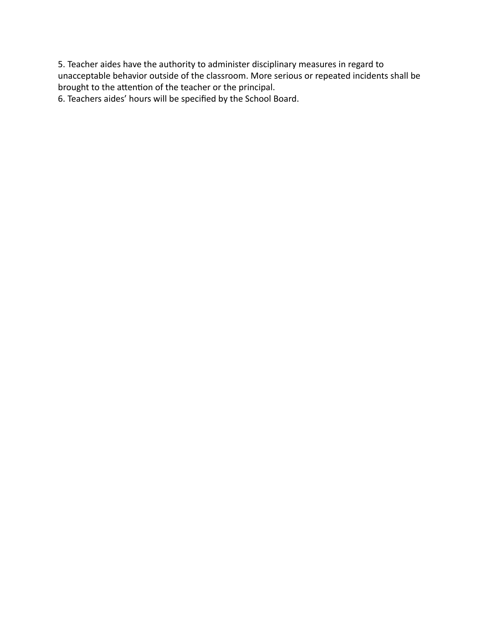5. Teacher aides have the authority to administer disciplinary measures in regard to unacceptable behavior outside of the classroom. More serious or repeated incidents shall be brought to the attention of the teacher or the principal.

6. Teachers aides' hours will be specified by the School Board.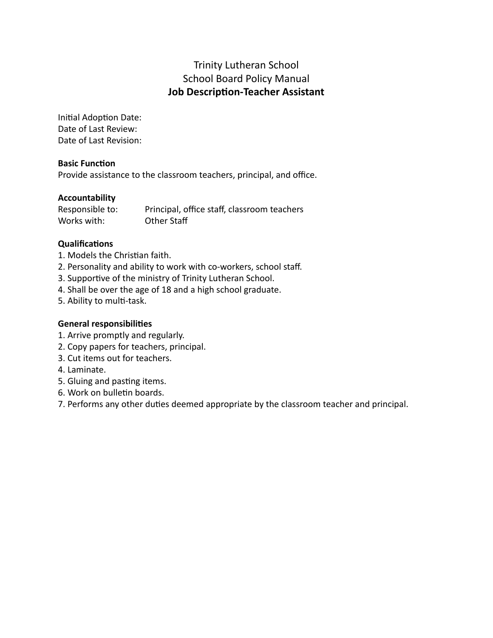# Trinity Lutheran School School Board Policy Manual **Job Description-Teacher Assistant**

Initial Adoption Date: Date of Last Review: Date of Last Revision:

### **Basic Function**

Provide assistance to the classroom teachers, principal, and office.

### **Accountability**

| Responsible to: | Principal, office staff, classroom teachers |
|-----------------|---------------------------------------------|
| Works with:     | Other Staff                                 |

### **Qualifications**

- 1. Models the Christian faith.
- 2. Personality and ability to work with co-workers, school staff.
- 3. Supportive of the ministry of Trinity Lutheran School.
- 4. Shall be over the age of 18 and a high school graduate.
- 5. Ability to multi-task.

### **General responsibilies**

- 1. Arrive promptly and regularly.
- 2. Copy papers for teachers, principal.
- 3. Cut items out for teachers.
- 4. Laminate.
- 5. Gluing and pasting items.
- 6. Work on bulletin boards.

7. Performs any other duties deemed appropriate by the classroom teacher and principal.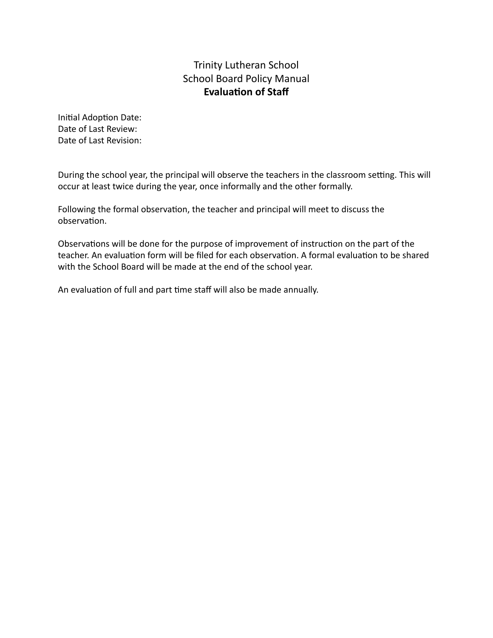# Trinity Lutheran School School Board Policy Manual **Evaluation of Staff**

Initial Adoption Date: Date of Last Review: Date of Last Revision:

During the school year, the principal will observe the teachers in the classroom setting. This will occur at least twice during the year, once informally and the other formally.

Following the formal observation, the teacher and principal will meet to discuss the observation.

Observations will be done for the purpose of improvement of instruction on the part of the teacher. An evaluation form will be filed for each observation. A formal evaluation to be shared with the School Board will be made at the end of the school year.

An evaluation of full and part time staff will also be made annually.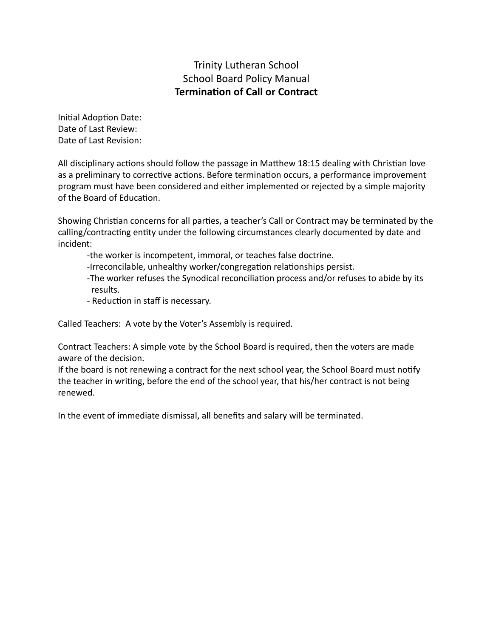# Trinity Lutheran School School Board Policy Manual **Termination of Call or Contract**

Initial Adoption Date: Date of Last Review: Date of Last Revision:

All disciplinary actions should follow the passage in Matthew 18:15 dealing with Christian love as a preliminary to corrective actions. Before termination occurs, a performance improvement program must have been considered and either implemented or rejected by a simple majority of the Board of Education.

Showing Christian concerns for all parties, a teacher's Call or Contract may be terminated by the calling/contracting entity under the following circumstances clearly documented by date and incident:

- -the worker is incompetent, immoral, or teaches false doctrine.
- -Irreconcilable, unhealthy worker/congregation relationships persist.
- -The worker refuses the Synodical reconciliation process and/or refuses to abide by its results.
- Reduction in staff is necessary.

Called Teachers: A vote by the Voter's Assembly is required.

Contract Teachers: A simple vote by the School Board is required, then the voters are made aware of the decision.

If the board is not renewing a contract for the next school year, the School Board must notify the teacher in writing, before the end of the school year, that his/her contract is not being renewed.

In the event of immediate dismissal, all benefits and salary will be terminated.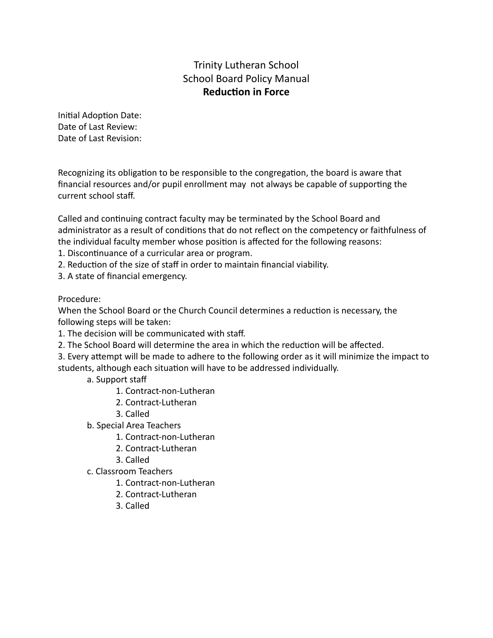# Trinity Lutheran School School Board Policy Manual **Reduction in Force**

Initial Adoption Date: Date of Last Review: Date of Last Revision:

Recognizing its obligation to be responsible to the congregation, the board is aware that financial resources and/or pupil enrollment may not always be capable of supporting the current school staff.

Called and continuing contract faculty may be terminated by the School Board and administrator as a result of conditions that do not reflect on the competency or faithfulness of the individual faculty member whose position is affected for the following reasons:

- 1. Discontinuance of a curricular area or program.
- 2. Reduction of the size of staff in order to maintain financial viability.
- 3. A state of financial emergency.

### Procedure:

When the School Board or the Church Council determines a reduction is necessary, the following steps will be taken:

1. The decision will be communicated with staff.

2. The School Board will determine the area in which the reduction will be affected.

3. Every attempt will be made to adhere to the following order as it will minimize the impact to students, although each situation will have to be addressed individually.

- a. Support staff
	- 1. Contract-non-Lutheran
	- 2. Contract-Lutheran
	- 3. Called
- b. Special Area Teachers
	- 1. Contract-non-Lutheran
	- 2. Contract-Lutheran
	- 3. Called
- c. Classroom Teachers
	- 1. Contract-non-Lutheran
	- 2. Contract-Lutheran
	- 3. Called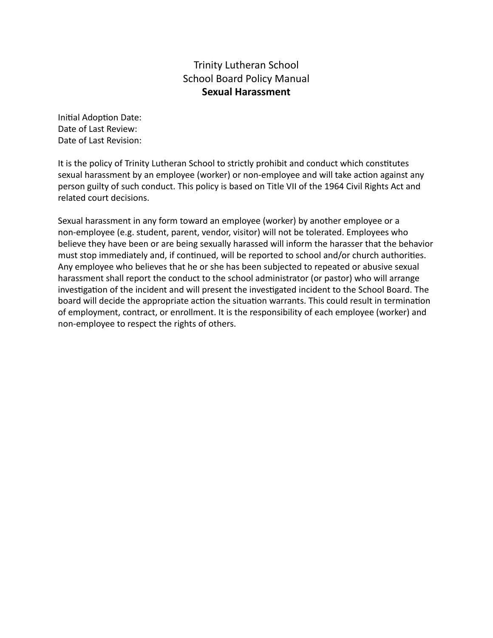# Trinity Lutheran School School Board Policy Manual **Sexual Harassment**

Initial Adoption Date: Date of Last Review: Date of Last Revision:

It is the policy of Trinity Lutheran School to strictly prohibit and conduct which constutes sexual harassment by an employee (worker) or non-employee and will take action against any person guilty of such conduct. This policy is based on Title VII of the 1964 Civil Rights Act and related court decisions.

Sexual harassment in any form toward an employee (worker) by another employee or a non-employee (e.g. student, parent, vendor, visitor) will not be tolerated. Employees who believe they have been or are being sexually harassed will inform the harasser that the behavior must stop immediately and, if continued, will be reported to school and/or church authorities. Any employee who believes that he or she has been subjected to repeated or abusive sexual harassment shall report the conduct to the school administrator (or pastor) who will arrange investigation of the incident and will present the investigated incident to the School Board. The board will decide the appropriate action the situation warrants. This could result in termination of employment, contract, or enrollment. It is the responsibility of each employee (worker) and non-employee to respect the rights of others.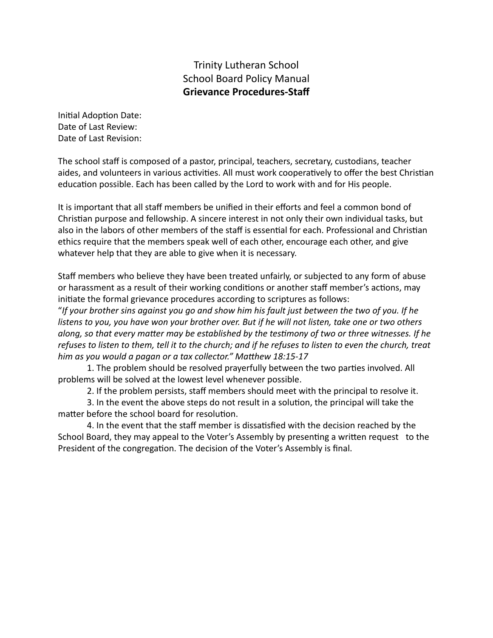### Trinity Lutheran School School Board Policy Manual **Grievance Procedures-Staff**

Initial Adoption Date: Date of Last Review: Date of Last Revision:

The school staff is composed of a pastor, principal, teachers, secretary, custodians, teacher aides, and volunteers in various activities. All must work cooperatively to offer the best Christian education possible. Each has been called by the Lord to work with and for His people.

It is important that all staff members be unified in their efforts and feel a common bond of Christian purpose and fellowship. A sincere interest in not only their own individual tasks, but also in the labors of other members of the staff is essential for each. Professional and Christian ethics require that the members speak well of each other, encourage each other, and give whatever help that they are able to give when it is necessary.

Staff members who believe they have been treated unfairly, or subjected to any form of abuse or harassment as a result of their working conditions or another staff member's actions, may initiate the formal grievance procedures according to scriptures as follows:

"*If your brother sins against you go and show him his fault just between the two of you. If he listens to you, you have won your brother over. But if he will not listen, take one or two others* along, so that every matter may be established by the testimony of two or three witnesses. If he *refuses to listen to them, tell it to the church; and if he refuses to listen to even the church, treat* him as you would a pagan or a tax collector." Matthew 18:15-17

1. The problem should be resolved prayerfully between the two parties involved. All problems will be solved at the lowest level whenever possible.

2. If the problem persists, staff members should meet with the principal to resolve it.

3. In the event the above steps do not result in a solution, the principal will take the matter before the school board for resolution.

4. In the event that the staff member is dissatisfied with the decision reached by the School Board, they may appeal to the Voter's Assembly by presenting a written request to the President of the congregation. The decision of the Voter's Assembly is final.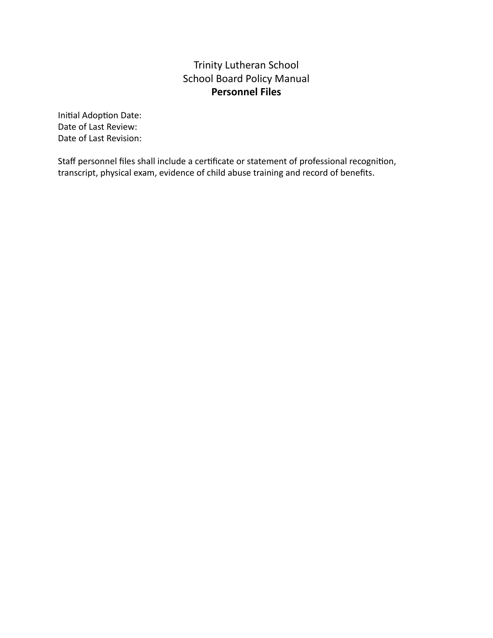# Trinity Lutheran School School Board Policy Manual **Personnel Files**

Initial Adoption Date: Date of Last Review: Date of Last Revision:

Staff personnel files shall include a certificate or statement of professional recognition, transcript, physical exam, evidence of child abuse training and record of benefits.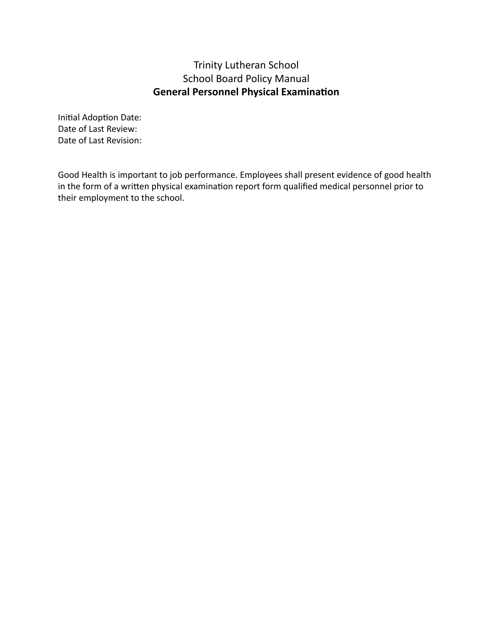# Trinity Lutheran School School Board Policy Manual **General Personnel Physical Examination**

Initial Adoption Date: Date of Last Review: Date of Last Revision:

Good Health is important to job performance. Employees shall present evidence of good health in the form of a written physical examination report form qualified medical personnel prior to their employment to the school.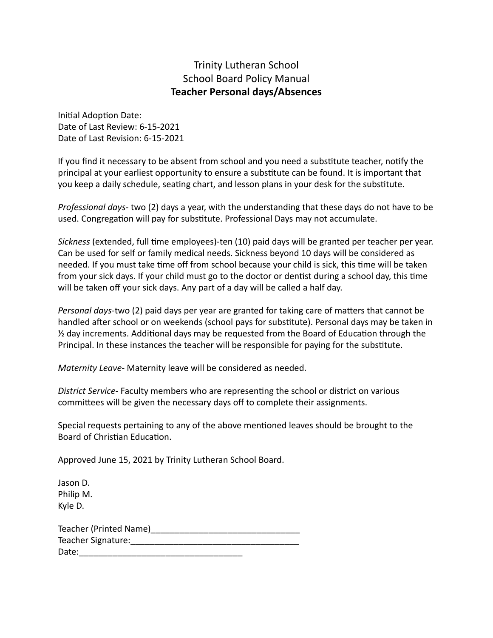### Trinity Lutheran School School Board Policy Manual **Teacher Personal days/Absences**

Initial Adoption Date: Date of Last Review: 6-15-2021 Date of Last Revision: 6-15-2021

If you find it necessary to be absent from school and you need a substitute teacher, notify the principal at your earliest opportunity to ensure a substitute can be found. It is important that you keep a daily schedule, seating chart, and lesson plans in your desk for the substitute.

*Professional days-* two (2) days a year, with the understanding that these days do not have to be used. Congregation will pay for substitute. Professional Days may not accumulate.

*Sickness* (extended, full me employees)-ten (10) paid days will be granted per teacher per year. Can be used for self or family medical needs. Sickness beyond 10 days will be considered as needed. If you must take time off from school because your child is sick, this time will be taken from your sick days. If your child must go to the doctor or dentist during a school day, this time will be taken off your sick days. Any part of a day will be called a half day.

*Personal days-two* (2) paid days per year are granted for taking care of matters that cannot be handled after school or on weekends (school pays for substitute). Personal days may be taken in  $\frac{1}{2}$  day increments. Additional days may be requested from the Board of Education through the Principal. In these instances the teacher will be responsible for paying for the substitute.

*Maternity Leave-* Maternity leave will be considered as needed.

*District Service-* Faculty members who are representing the school or district on various committees will be given the necessary days off to complete their assignments.

Special requests pertaining to any of the above mentioned leaves should be brought to the Board of Christian Education.

Approved June 15, 2021 by Trinity Lutheran School Board.

Jason D. Philip M. Kyle D.

| Teacher (Printed Name) |  |
|------------------------|--|
| Teacher Signature:     |  |
| Date:                  |  |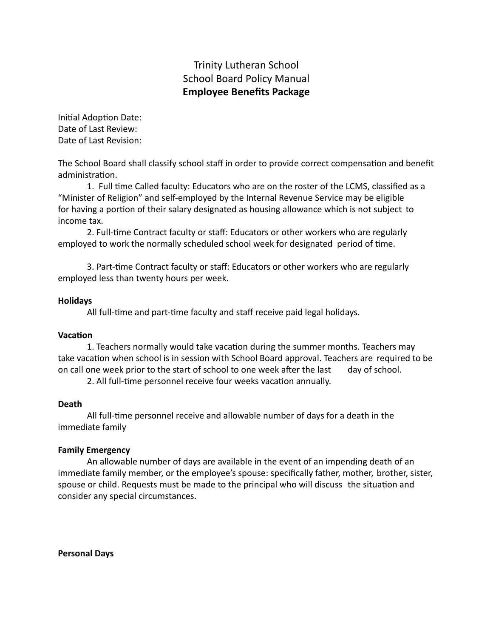# Trinity Lutheran School School Board Policy Manual **Employee Benefits Package**

Initial Adoption Date: Date of Last Review: Date of Last Revision:

The School Board shall classify school staff in order to provide correct compensation and benefit administration.

1. Full time Called faculty: Educators who are on the roster of the LCMS, classified as a "Minister of Religion" and self-employed by the Internal Revenue Service may be eligible for having a portion of their salary designated as housing allowance which is not subject to income tax.

2. Full-time Contract faculty or staff: Educators or other workers who are regularly employed to work the normally scheduled school week for designated period of time.

3. Part-time Contract faculty or staff: Educators or other workers who are regularly employed less than twenty hours per week.

#### **Holidays**

All full-time and part-time faculty and staff receive paid legal holidays.

#### **Vacation**

1. Teachers normally would take vacation during the summer months. Teachers may take vacation when school is in session with School Board approval. Teachers are required to be on call one week prior to the start of school to one week after the last day of school.

2. All full-time personnel receive four weeks vacation annually.

#### **Death**

All full-me personnel receive and allowable number of days for a death in the immediate family

#### **Family Emergency**

An allowable number of days are available in the event of an impending death of an immediate family member, or the employee's spouse: specifically father, mother, brother, sister, spouse or child. Requests must be made to the principal who will discuss the situation and consider any special circumstances.

**Personal Days**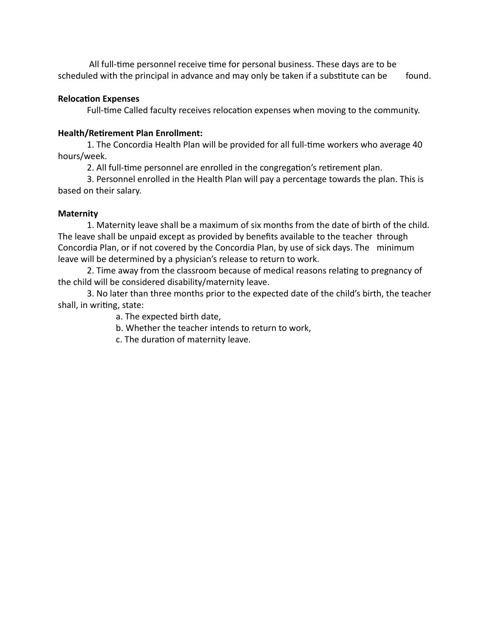All full-time personnel receive time for personal business. These days are to be scheduled with the principal in advance and may only be taken if a substitute can be found.

### **Relocation Expenses**

Full-time Called faculty receives relocation expenses when moving to the community.

### **Health/Retirement Plan Enrollment:**

1. The Concordia Health Plan will be provided for all full-time workers who average 40 hours/week.

2. All full-time personnel are enrolled in the congregation's retirement plan.

3. Personnel enrolled in the Health Plan will pay a percentage towards the plan. This is based on their salary.

### **Maternity**

1. Maternity leave shall be a maximum of six months from the date of birth of the child. The leave shall be unpaid except as provided by benefits available to the teacher through Concordia Plan, or if not covered by the Concordia Plan, by use of sick days. The minimum leave will be determined by a physician's release to return to work.

2. Time away from the classroom because of medical reasons relating to pregnancy of the child will be considered disability/maternity leave.

3. No later than three months prior to the expected date of the child's birth, the teacher shall, in writing, state:

a. The expected birth date,

b. Whether the teacher intends to return to work,

c. The duration of maternity leave.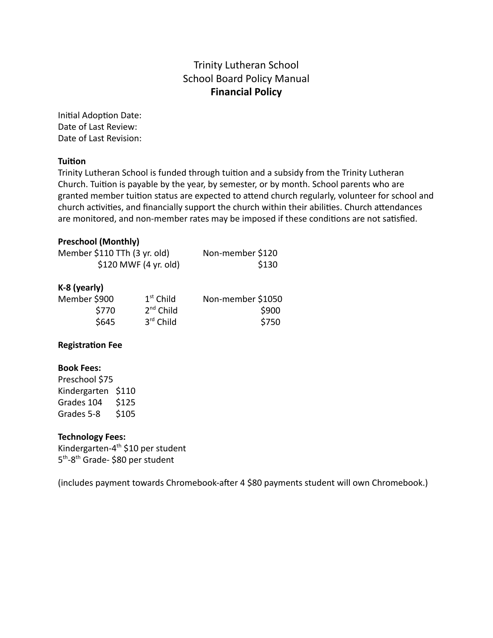# Trinity Lutheran School School Board Policy Manual **Financial Policy**

Initial Adoption Date: Date of Last Review: Date of Last Revision:

### **Tuition**

Trinity Lutheran School is funded through tuition and a subsidy from the Trinity Lutheran Church. Tuition is payable by the year, by semester, or by month. School parents who are granted member tuition status are expected to attend church regularly, volunteer for school and church activities, and financially support the church within their abilities. Church attendances are monitored, and non-member rates may be imposed if these conditions are not satisfied.

#### **Preschool (Monthly)**

| Member \$110 TTh (3 yr. old) | Non-member \$120 |
|------------------------------|------------------|
| $$120$ MWF (4 yr. old)       | \$130            |
|                              |                  |
| $K-R$ (vearly)               |                  |

#### **K-8 (yearly)**

| Member \$900 | $1st$ Child    | Non-member \$1050 |
|--------------|----------------|-------------------|
| \$770        | $2^{nd}$ Child | \$900             |
| \$645        | $3rd$ Child    | \$750             |

### **Registration Fee**

#### **Book Fees:**

Preschool \$75 Kindergarten \$110 Grades 104 \$125 Grades 5-8 \$105

### **Technology Fees:**

Kindergarten-4<sup>th</sup> \$10 per student 5<sup>th</sup>-8<sup>th</sup> Grade- \$80 per student

(includes payment towards Chromebook-after 4 \$80 payments student will own Chromebook.)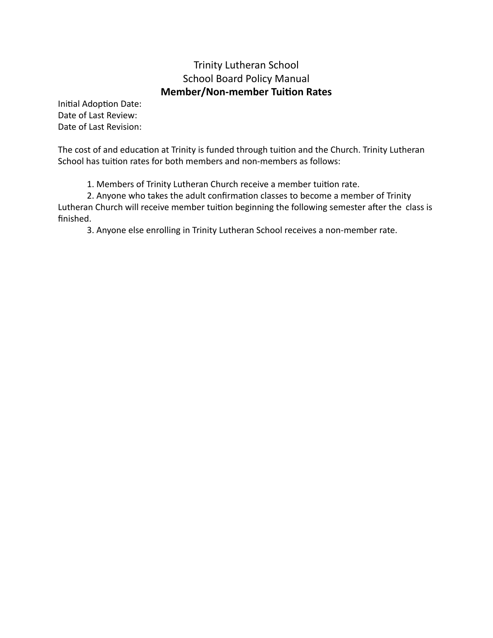# Trinity Lutheran School School Board Policy Manual **Member/Non-member Tuition Rates**

Initial Adoption Date: Date of Last Review: Date of Last Revision:

The cost of and education at Trinity is funded through tuition and the Church. Trinity Lutheran School has tuition rates for both members and non-members as follows:

1. Members of Trinity Lutheran Church receive a member tuition rate.

2. Anyone who takes the adult confirmation classes to become a member of Trinity Lutheran Church will receive member tuition beginning the following semester after the class is finished.

3. Anyone else enrolling in Trinity Lutheran School receives a non-member rate.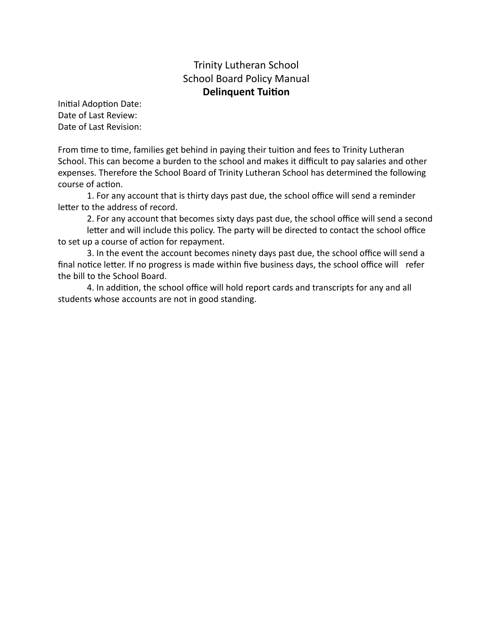### Trinity Lutheran School School Board Policy Manual **Delinquent Tuition**

Initial Adoption Date: Date of Last Review: Date of Last Revision:

From time to time, families get behind in paying their tuition and fees to Trinity Lutheran School. This can become a burden to the school and makes it difficult to pay salaries and other expenses. Therefore the School Board of Trinity Lutheran School has determined the following course of action.

1. For any account that is thirty days past due, the school office will send a reminder letter to the address of record.

2. For any account that becomes sixty days past due, the school office will send a second letter and will include this policy. The party will be directed to contact the school office to set up a course of action for repayment.

3. In the event the account becomes ninety days past due, the school office will send a final notice letter. If no progress is made within five business days, the school office will refer the bill to the School Board.

4. In addition, the school office will hold report cards and transcripts for any and all students whose accounts are not in good standing.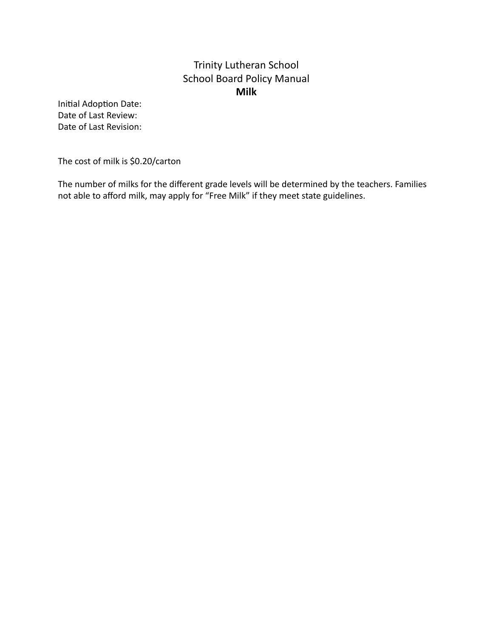# Trinity Lutheran School School Board Policy Manual **Milk**

Initial Adoption Date: Date of Last Review: Date of Last Revision:

The cost of milk is \$0.20/carton

The number of milks for the different grade levels will be determined by the teachers. Families not able to afford milk, may apply for "Free Milk" if they meet state guidelines.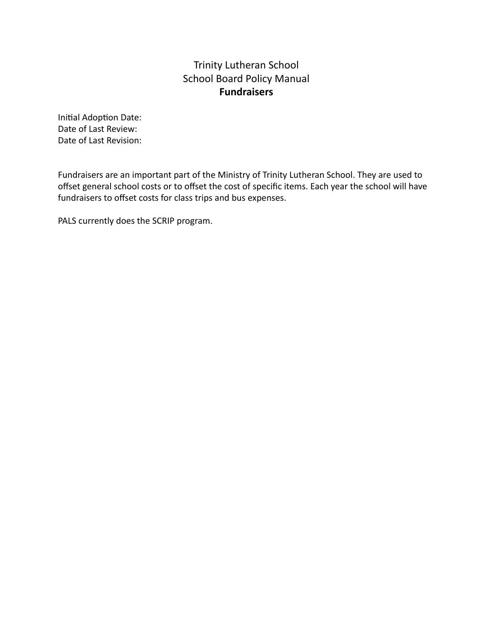# Trinity Lutheran School School Board Policy Manual **Fundraisers**

Initial Adoption Date: Date of Last Review: Date of Last Revision:

Fundraisers are an important part of the Ministry of Trinity Lutheran School. They are used to offset general school costs or to offset the cost of specific items. Each year the school will have fundraisers to offset costs for class trips and bus expenses.

PALS currently does the SCRIP program.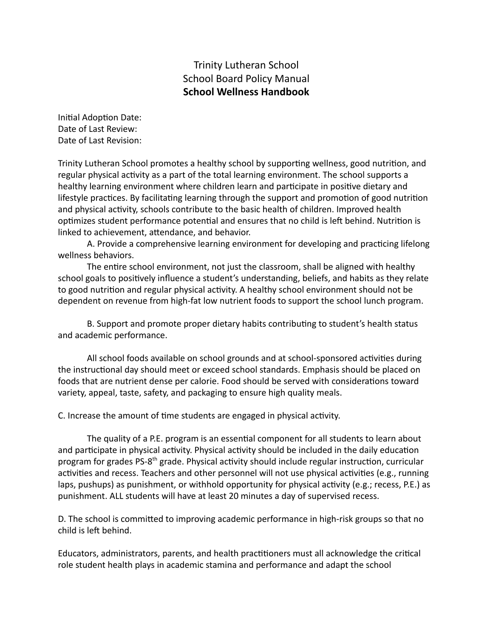### Trinity Lutheran School School Board Policy Manual **School Wellness Handbook**

Initial Adoption Date: Date of Last Review: Date of Last Revision:

Trinity Lutheran School promotes a healthy school by supporting wellness, good nutrition, and regular physical activity as a part of the total learning environment. The school supports a healthy learning environment where children learn and participate in positive dietary and lifestyle practices. By facilitating learning through the support and promotion of good nutrition and physical activity, schools contribute to the basic health of children. Improved health optimizes student performance potential and ensures that no child is left behind. Nutrition is linked to achievement, attendance, and behavior.

A. Provide a comprehensive learning environment for developing and practicing lifelong wellness behaviors.

The entire school environment, not just the classroom, shall be aligned with healthy school goals to positively influence a student's understanding, beliefs, and habits as they relate to good nutrition and regular physical activity. A healthy school environment should not be dependent on revenue from high-fat low nutrient foods to support the school lunch program.

B. Support and promote proper dietary habits contributing to student's health status and academic performance.

All school foods available on school grounds and at school-sponsored activities during the instructional day should meet or exceed school standards. Emphasis should be placed on foods that are nutrient dense per calorie. Food should be served with considerations toward variety, appeal, taste, safety, and packaging to ensure high quality meals.

C. Increase the amount of time students are engaged in physical activity.

The quality of a P.E. program is an essential component for all students to learn about and participate in physical activity. Physical activity should be included in the daily education program for grades PS-8<sup>th</sup> grade. Physical activity should include regular instruction, curricular activities and recess. Teachers and other personnel will not use physical activities (e.g., running laps, pushups) as punishment, or withhold opportunity for physical activity (e.g.; recess, P.E.) as punishment. ALL students will have at least 20 minutes a day of supervised recess.

D. The school is committed to improving academic performance in high-risk groups so that no child is left behind.

Educators, administrators, parents, and health practitioners must all acknowledge the critical role student health plays in academic stamina and performance and adapt the school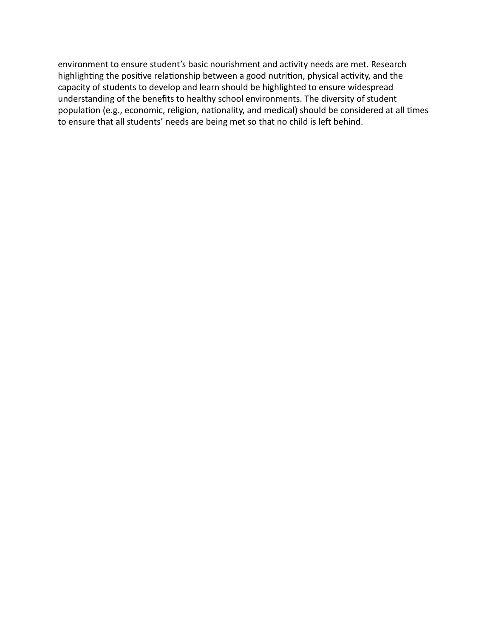environment to ensure student's basic nourishment and activity needs are met. Research highlighting the positive relationship between a good nutrition, physical activity, and the capacity of students to develop and learn should be highlighted to ensure widespread understanding of the benefits to healthy school environments. The diversity of student population (e.g., economic, religion, nationality, and medical) should be considered at all times to ensure that all students' needs are being met so that no child is left behind.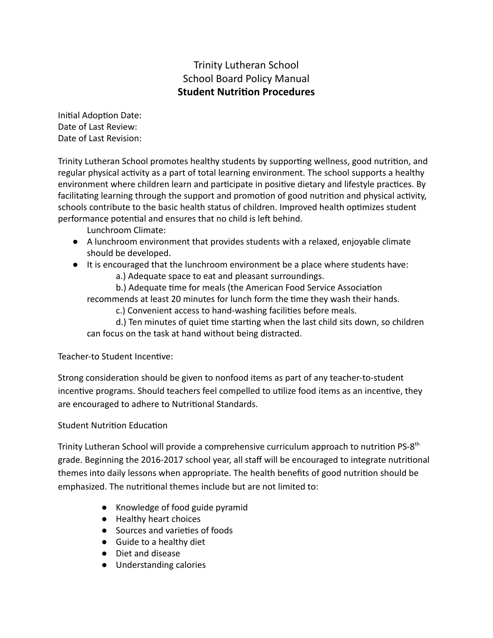# Trinity Lutheran School School Board Policy Manual **Student Nutrion Procedures**

Initial Adoption Date: Date of Last Review: Date of Last Revision:

Trinity Lutheran School promotes healthy students by supporting wellness, good nutrition, and regular physical activity as a part of total learning environment. The school supports a healthy environment where children learn and participate in positive dietary and lifestyle practices. By facilitating learning through the support and promotion of good nutrition and physical activity, schools contribute to the basic health status of children. Improved health optimizes student performance potential and ensures that no child is left behind.

Lunchroom Climate:

- A lunchroom environment that provides students with a relaxed, enjoyable climate should be developed.
- It is encouraged that the lunchroom environment be a place where students have:
	- a.) Adequate space to eat and pleasant surroundings.

b.) Adequate time for meals (the American Food Service Association recommends at least 20 minutes for lunch form the time they wash their hands.

c.) Convenient access to hand-washing facilities before meals.

d.) Ten minutes of quiet time starting when the last child sits down, so children can focus on the task at hand without being distracted.

Teacher-to Student Incentive:

Strong consideration should be given to nonfood items as part of any teacher-to-student incentive programs. Should teachers feel compelled to utilize food items as an incentive, they are encouraged to adhere to Nutritional Standards.

## Student Nutrition Education

Trinity Lutheran School will provide a comprehensive curriculum approach to nutrition PS-8<sup>th</sup> grade. Beginning the 2016-2017 school year, all staff will be encouraged to integrate nutrional themes into daily lessons when appropriate. The health benefits of good nutrition should be emphasized. The nutritional themes include but are not limited to:

- Knowledge of food guide pyramid
- Healthy heart choices
- Sources and varieties of foods
- Guide to a healthy diet
- Diet and disease
- Understanding calories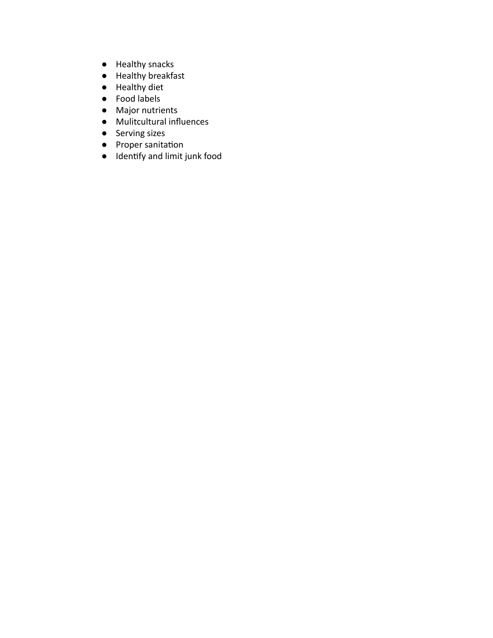- Healthy snacks
- Healthy breakfast
- Healthy diet
- Food labels
- Major nutrients
- Mulitcultural influences
- Serving sizes
- Proper sanitation
- Idenfy and limit junk food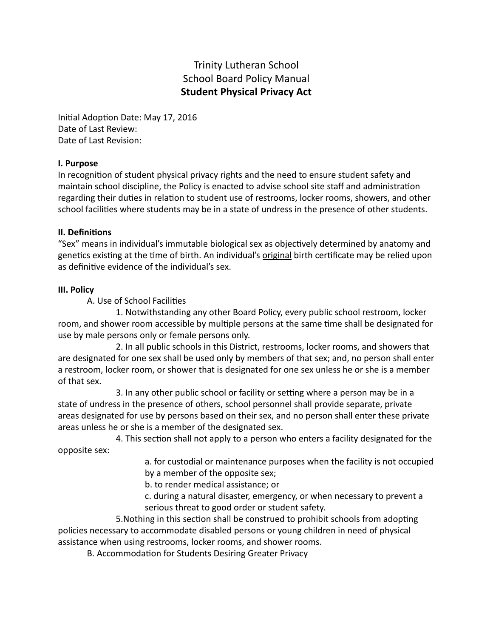# Trinity Lutheran School School Board Policy Manual **Student Physical Privacy Act**

Initial Adoption Date: May 17, 2016 Date of Last Review: Date of Last Revision:

#### **I. Purpose**

In recognition of student physical privacy rights and the need to ensure student safety and maintain school discipline, the Policy is enacted to advise school site staff and administration regarding their duties in relation to student use of restrooms, locker rooms, showers, and other school facilities where students may be in a state of undress in the presence of other students.

#### **II.** Definitions

"Sex" means in individual's immutable biological sex as objectively determined by anatomy and genetics existing at the time of birth. An individual's original birth certificate may be relied upon as definitive evidence of the individual's sex.

#### **III. Policy**

A. Use of School Facilities

1. Notwithstanding any other Board Policy, every public school restroom, locker room, and shower room accessible by multiple persons at the same time shall be designated for use by male persons only or female persons only.

2. In all public schools in this District, restrooms, locker rooms, and showers that are designated for one sex shall be used only by members of that sex; and, no person shall enter a restroom, locker room, or shower that is designated for one sex unless he or she is a member of that sex.

3. In any other public school or facility or setting where a person may be in a state of undress in the presence of others, school personnel shall provide separate, private areas designated for use by persons based on their sex, and no person shall enter these private areas unless he or she is a member of the designated sex.

4. This section shall not apply to a person who enters a facility designated for the opposite sex:

> a. for custodial or maintenance purposes when the facility is not occupied by a member of the opposite sex;

b. to render medical assistance; or

c. during a natural disaster, emergency, or when necessary to prevent a serious threat to good order or student safety.

5. Nothing in this section shall be construed to prohibit schools from adopting policies necessary to accommodate disabled persons or young children in need of physical assistance when using restrooms, locker rooms, and shower rooms.

B. Accommodation for Students Desiring Greater Privacy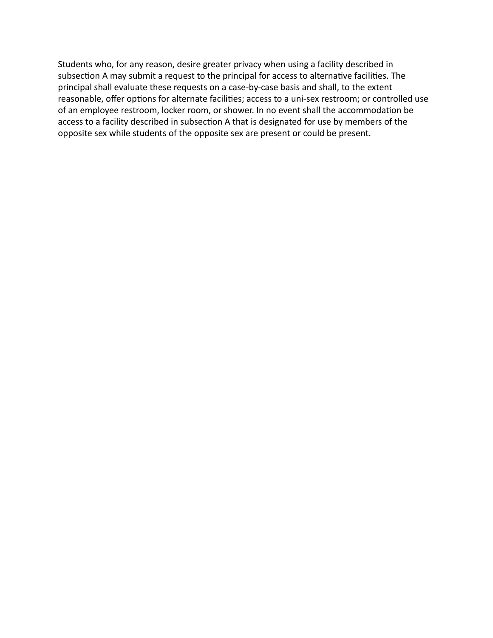Students who, for any reason, desire greater privacy when using a facility described in subsection A may submit a request to the principal for access to alternative facilities. The principal shall evaluate these requests on a case-by-case basis and shall, to the extent reasonable, offer options for alternate facilities; access to a uni-sex restroom; or controlled use of an employee restroom, locker room, or shower. In no event shall the accommodation be access to a facility described in subsection A that is designated for use by members of the opposite sex while students of the opposite sex are present or could be present.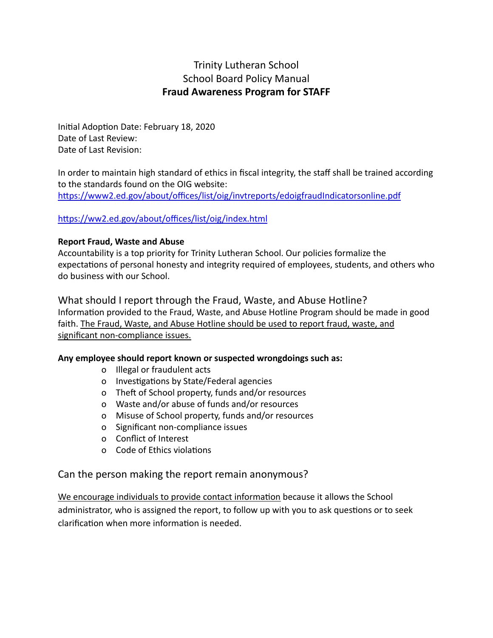# Trinity Lutheran School School Board Policy Manual **Fraud Awareness Program for STAFF**

Initial Adoption Date: February 18, 2020 Date of Last Review: Date of Last Revision:

In order to maintain high standard of ethics in fiscal integrity, the staff shall be trained according to the standards found on the OIG website: https://www2.ed.gov/about/offices/list/oig/invtreports/edoigfraudIndicatorsonline.pdf

#### https://ww2.ed.gov/about/offices/list/oig/index.html

#### **Report Fraud, Waste and Abuse**

Accountability is a top priority for Trinity Lutheran School. Our policies formalize the expectations of personal honesty and integrity required of employees, students, and others who do business with our School.

What should I report through the Fraud, Waste, and Abuse Hotline? Information provided to the Fraud, Waste, and Abuse Hotline Program should be made in good faith. The Fraud, Waste, and Abuse Hotline should be used to report fraud, waste, and significant non-compliance issues.

#### **Any employee should report known or suspected wrongdoings such as:**

- o Illegal or fraudulent acts
- o Investigations by State/Federal agencies
- o Theft of School property, funds and/or resources
- o Waste and/or abuse of funds and/or resources
- o Misuse of School property, funds and/or resources
- o Significant non-compliance issues
- o Conflict of Interest
- o Code of Ethics violations

### Can the person making the report remain anonymous?

We encourage individuals to provide contact information because it allows the School administrator, who is assigned the report, to follow up with you to ask questions or to seek clarification when more information is needed.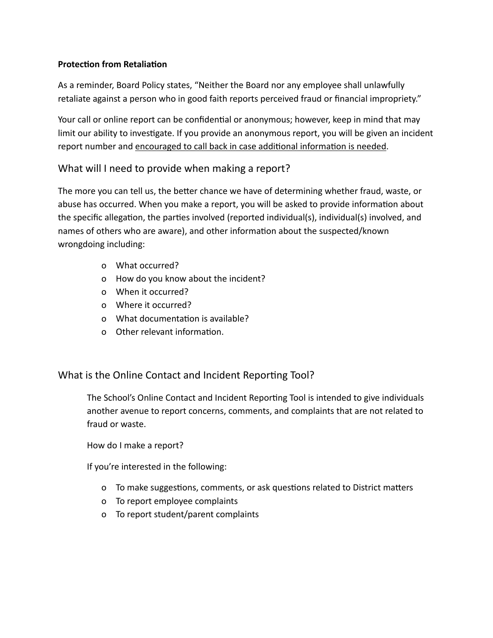### **Protection from Retaliation**

As a reminder, Board Policy states, "Neither the Board nor any employee shall unlawfully retaliate against a person who in good faith reports perceived fraud or financial impropriety."

Your call or online report can be confidential or anonymous; however, keep in mind that may limit our ability to investigate. If you provide an anonymous report, you will be given an incident report number and encouraged to call back in case additional information is needed.

## What will I need to provide when making a report?

The more you can tell us, the better chance we have of determining whether fraud, waste, or abuse has occurred. When you make a report, you will be asked to provide information about the specific allegation, the parties involved (reported individual(s), individual(s) involved, and names of others who are aware), and other information about the suspected/known wrongdoing including:

- o What occurred?
- o How do you know about the incident?
- o When it occurred?
- o Where it occurred?
- o What documentation is available?
- $\Omega$  Other relevant information.

### What is the Online Contact and Incident Reporting Tool?

The School's Online Contact and Incident Reporting Tool is intended to give individuals another avenue to report concerns, comments, and complaints that are not related to fraud or waste.

How do I make a report?

If you're interested in the following:

- o To make suggestions, comments, or ask questions related to District matters
- o To report employee complaints
- o To report student/parent complaints